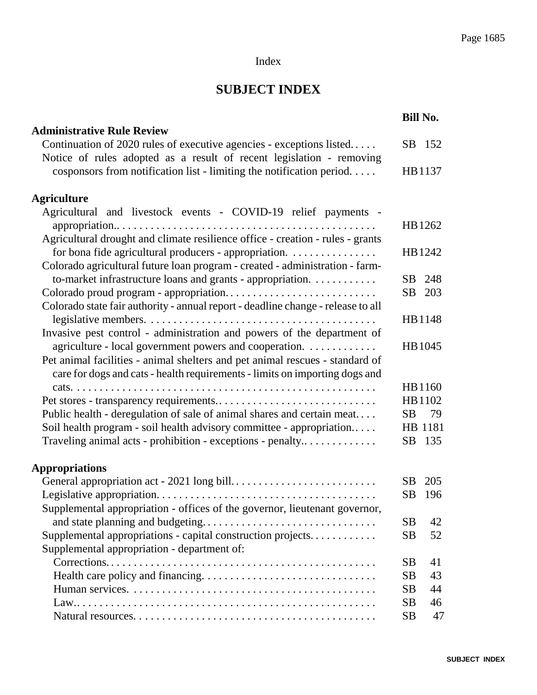### Index

## **SUBJECT INDEX**

|                                                                                                                                                             | <b>Bill No.</b> |  |
|-------------------------------------------------------------------------------------------------------------------------------------------------------------|-----------------|--|
| <b>Administrative Rule Review</b>                                                                                                                           |                 |  |
| Continuation of 2020 rules of executive agencies - exceptions listed<br>Notice of rules adopted as a result of recent legislation - removing                | SB 152          |  |
| cosponsors from notification list - limiting the notification period                                                                                        | HB1137          |  |
| <b>Agriculture</b>                                                                                                                                          |                 |  |
| Agricultural and livestock events - COVID-19 relief payments -                                                                                              |                 |  |
| Agricultural drought and climate resilience office - creation - rules - grants                                                                              | HB1262          |  |
| for bona fide agricultural producers - appropriation.                                                                                                       | HB 1242         |  |
| Colorado agricultural future loan program - created - administration - farm-                                                                                |                 |  |
| to-market infrastructure loans and grants - appropriation.                                                                                                  | 248<br>SB       |  |
|                                                                                                                                                             | SB<br>203       |  |
| Colorado state fair authority - annual report - deadline change - release to all                                                                            |                 |  |
|                                                                                                                                                             | HB1148          |  |
| Invasive pest control - administration and powers of the department of                                                                                      |                 |  |
| agriculture - local government powers and cooperation.                                                                                                      | HB 1045         |  |
| Pet animal facilities - animal shelters and pet animal rescues - standard of<br>care for dogs and cats - health requirements - limits on importing dogs and |                 |  |
|                                                                                                                                                             | HB1160          |  |
|                                                                                                                                                             | HB1102          |  |
| Public health - deregulation of sale of animal shares and certain meat                                                                                      | SB<br>79        |  |
| Soil health program - soil health advisory committee - appropriation                                                                                        | HB 1181         |  |
| Traveling animal acts - prohibition - exceptions - penalty                                                                                                  | SB 135          |  |
| <b>Appropriations</b>                                                                                                                                       |                 |  |
|                                                                                                                                                             | 205<br>SB       |  |
|                                                                                                                                                             | SB<br>196       |  |
| Supplemental appropriation - offices of the governor, lieutenant governor,                                                                                  |                 |  |
|                                                                                                                                                             | 42<br><b>SB</b> |  |
| Supplemental appropriations - capital construction projects                                                                                                 | <b>SB</b><br>52 |  |
| Supplemental appropriation - department of:                                                                                                                 |                 |  |
|                                                                                                                                                             | SB<br>41        |  |
|                                                                                                                                                             | 43<br><b>SB</b> |  |
|                                                                                                                                                             | 44<br><b>SB</b> |  |
|                                                                                                                                                             | <b>SB</b><br>46 |  |
|                                                                                                                                                             | <b>SB</b><br>47 |  |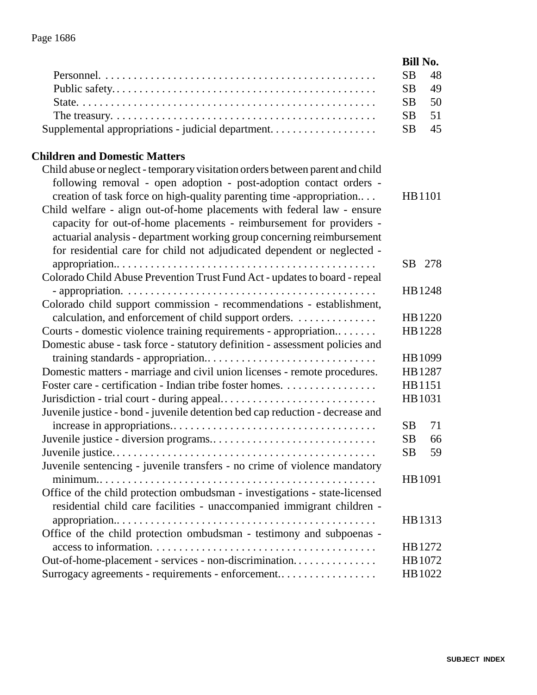|                                                                                                                                                      | <b>Bill No.</b> |  |
|------------------------------------------------------------------------------------------------------------------------------------------------------|-----------------|--|
|                                                                                                                                                      | <b>SB</b><br>48 |  |
|                                                                                                                                                      | <b>SB</b><br>49 |  |
|                                                                                                                                                      | <b>SB</b><br>50 |  |
| The treasury. $\dots \dots \dots \dots \dots \dots \dots \dots \dots \dots \dots \dots \dots \dots \dots \dots$                                      | 51<br><b>SB</b> |  |
| Supplemental appropriations - judicial department                                                                                                    | <b>SB</b><br>45 |  |
| <b>Children and Domestic Matters</b>                                                                                                                 |                 |  |
| Child abuse or neglect - temporary visitation orders between parent and child<br>following removal - open adoption - post-adoption contact orders -  |                 |  |
| creation of task force on high-quality parenting time -appropriation                                                                                 | HB1101          |  |
| Child welfare - align out-of-home placements with federal law - ensure<br>capacity for out-of-home placements - reimbursement for providers -        |                 |  |
| actuarial analysis - department working group concerning reimbursement                                                                               |                 |  |
| for residential care for child not adjudicated dependent or neglected -                                                                              |                 |  |
|                                                                                                                                                      | SB 278          |  |
| Colorado Child Abuse Prevention Trust Fund Act - updates to board - repeal                                                                           |                 |  |
|                                                                                                                                                      | HB1248          |  |
| Colorado child support commission - recommendations - establishment,                                                                                 |                 |  |
| calculation, and enforcement of child support orders.                                                                                                | HB 1220         |  |
| Courts - domestic violence training requirements - appropriation                                                                                     | HB1228          |  |
| Domestic abuse - task force - statutory definition - assessment policies and                                                                         |                 |  |
|                                                                                                                                                      | HB 1099         |  |
| Domestic matters - marriage and civil union licenses - remote procedures.                                                                            | HB1287          |  |
| Foster care - certification - Indian tribe foster homes.                                                                                             | HB1151          |  |
| Jurisdiction - trial court - during appeal                                                                                                           | HB1031          |  |
| Juvenile justice - bond - juvenile detention bed cap reduction - decrease and                                                                        |                 |  |
|                                                                                                                                                      | 71<br><b>SB</b> |  |
|                                                                                                                                                      | <b>SB</b><br>66 |  |
| Juvenile sentencing - juvenile transfers - no crime of violence mandatory                                                                            | SB<br>59        |  |
|                                                                                                                                                      | HB 1091         |  |
| Office of the child protection ombudsman - investigations - state-licensed<br>residential child care facilities - unaccompanied immigrant children - |                 |  |
|                                                                                                                                                      | HB1313          |  |
| Office of the child protection ombudsman - testimony and subpoenas -                                                                                 |                 |  |
|                                                                                                                                                      | HB 1272         |  |
| Out-of-home-placement - services - non-discrimination                                                                                                | HB 1072         |  |
| Surrogacy agreements - requirements - enforcement                                                                                                    | HB1022          |  |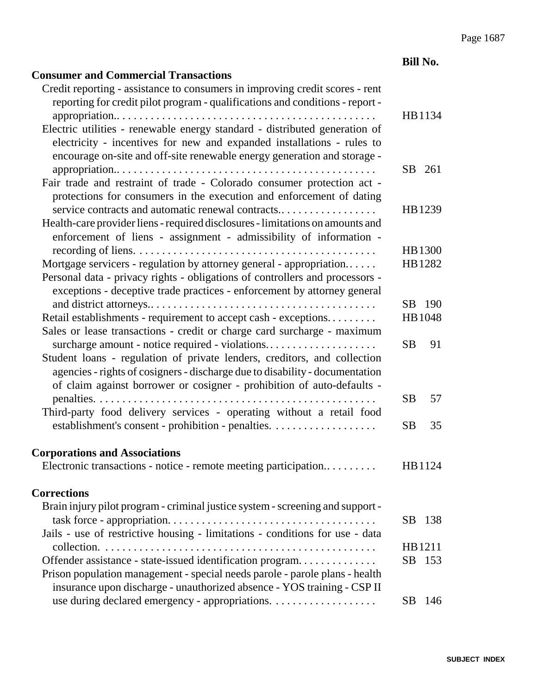|                                                                                                                                                                                                                                    | <b>Bill No.</b>  |
|------------------------------------------------------------------------------------------------------------------------------------------------------------------------------------------------------------------------------------|------------------|
| <b>Consumer and Commercial Transactions</b>                                                                                                                                                                                        |                  |
| Credit reporting - assistance to consumers in improving credit scores - rent                                                                                                                                                       |                  |
| reporting for credit pilot program - qualifications and conditions - report -                                                                                                                                                      |                  |
|                                                                                                                                                                                                                                    | HB1134           |
| Electric utilities - renewable energy standard - distributed generation of<br>electricity - incentives for new and expanded installations - rules to<br>encourage on-site and off-site renewable energy generation and storage -   |                  |
|                                                                                                                                                                                                                                    | SB 261           |
| Fair trade and restraint of trade - Colorado consumer protection act -<br>protections for consumers in the execution and enforcement of dating                                                                                     |                  |
| service contracts and automatic renewal contracts                                                                                                                                                                                  | HB1239           |
| Health-care provider liens - required disclosures - limitations on amounts and<br>enforcement of liens - assignment - admissibility of information -                                                                               |                  |
|                                                                                                                                                                                                                                    | HB 1300          |
| Mortgage servicers - regulation by attorney general - appropriation                                                                                                                                                                | HB1282           |
| Personal data - privacy rights - obligations of controllers and processors -<br>exceptions - deceptive trade practices - enforcement by attorney general                                                                           |                  |
|                                                                                                                                                                                                                                    | SB 190           |
| Retail establishments - requirement to accept cash - exceptions                                                                                                                                                                    | HB 1048          |
| Sales or lease transactions - credit or charge card surcharge - maximum<br>surcharge amount - notice required - violations                                                                                                         | <b>SB</b><br>91  |
| Student loans - regulation of private lenders, creditors, and collection<br>agencies - rights of cosigners - discharge due to disability - documentation<br>of claim against borrower or cosigner - prohibition of auto-defaults - |                  |
|                                                                                                                                                                                                                                    | <b>SB</b><br>57  |
| Third-party food delivery services - operating without a retail food                                                                                                                                                               |                  |
| establishment's consent - prohibition - penalties.                                                                                                                                                                                 | <b>SB</b><br>35  |
| <b>Corporations and Associations</b>                                                                                                                                                                                               |                  |
| Electronic transactions - notice - remote meeting participation                                                                                                                                                                    | HB1124           |
| <b>Corrections</b>                                                                                                                                                                                                                 |                  |
| Brain injury pilot program - criminal justice system - screening and support -                                                                                                                                                     |                  |
| Jails - use of restrictive housing - limitations - conditions for use - data                                                                                                                                                       | <b>SB</b><br>138 |
|                                                                                                                                                                                                                                    | HB1211           |
| Offender assistance - state-issued identification program                                                                                                                                                                          | <b>SB</b><br>153 |
| Prison population management - special needs parole - parole plans - health<br>insurance upon discharge - unauthorized absence - YOS training - CSP II                                                                             |                  |
|                                                                                                                                                                                                                                    | <b>SB</b><br>146 |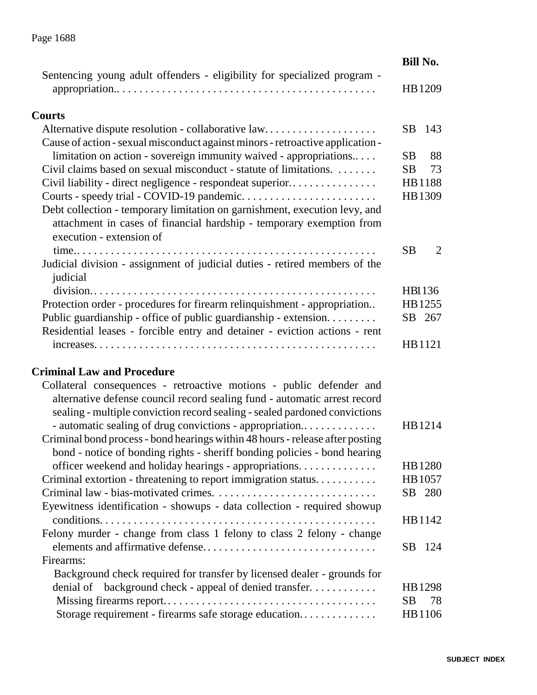|                                                                                                                                                                                | <b>Bill No.</b>      |
|--------------------------------------------------------------------------------------------------------------------------------------------------------------------------------|----------------------|
| Sentencing young adult offenders - eligibility for specialized program -                                                                                                       | HB1209               |
| <b>Courts</b>                                                                                                                                                                  |                      |
| Alternative dispute resolution - collaborative law<br>Cause of action - sexual misconduct against minors - retroactive application -                                           | SB<br>- 143          |
| limitation on action - sovereign immunity waived - appropriations                                                                                                              | <b>SB</b><br>88      |
| Civil claims based on sexual misconduct - statute of limitations.                                                                                                              | SB<br>73             |
| Civil liability - direct negligence - respondeat superior                                                                                                                      | HB1188               |
|                                                                                                                                                                                | HB1309               |
| Debt collection - temporary limitation on garnishment, execution levy, and<br>attachment in cases of financial hardship - temporary exemption from<br>execution - extension of |                      |
|                                                                                                                                                                                | $\overline{2}$<br>SВ |
| Judicial division - assignment of judicial duties - retired members of the<br>judicial                                                                                         |                      |
|                                                                                                                                                                                | HB1136               |
| Protection order - procedures for firearm relinquishment - appropriation                                                                                                       | HB1255               |
| Public guardianship - office of public guardianship - extension.<br>Residential leases - forcible entry and detainer - eviction actions - rent                                 | SB 267               |
|                                                                                                                                                                                | HB1121               |
| <b>Criminal Law and Procedure</b>                                                                                                                                              |                      |
| Collateral consequences - retroactive motions - public defender and                                                                                                            |                      |
| alternative defense council record sealing fund - automatic arrest record                                                                                                      |                      |
| sealing - multiple conviction record sealing - sealed pardoned convictions                                                                                                     |                      |
| - automatic sealing of drug convictions - appropriation                                                                                                                        | HB1214               |
| Criminal bond process - bond hearings within 48 hours - release after posting                                                                                                  |                      |
| bond - notice of bonding rights - sheriff bonding policies - bond hearing                                                                                                      |                      |
| officer weekend and holiday hearings - appropriations.                                                                                                                         | HB 1280              |
| Criminal extortion - threatening to report immigration status                                                                                                                  | HB 1057              |
|                                                                                                                                                                                | SB 280               |
| Eyewitness identification - showups - data collection - required showup                                                                                                        |                      |
|                                                                                                                                                                                | HB 1142              |
| Felony murder - change from class 1 felony to class 2 felony - change                                                                                                          |                      |
|                                                                                                                                                                                | SB 124               |
| Firearms:                                                                                                                                                                      |                      |
| Background check required for transfer by licensed dealer - grounds for                                                                                                        |                      |
| denial of background check - appeal of denied transfer                                                                                                                         | HB1298               |
|                                                                                                                                                                                | SB<br>78             |
| Storage requirement - firearms safe storage education                                                                                                                          | HB1106               |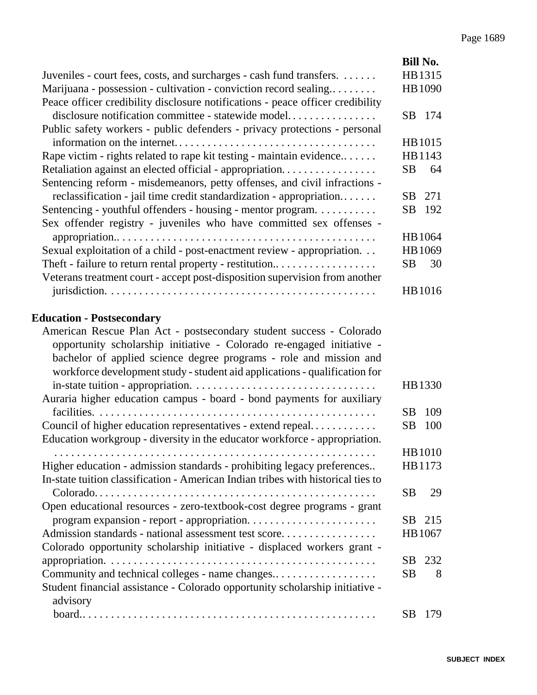|                                                                                  | <b>Bill No.</b>  |
|----------------------------------------------------------------------------------|------------------|
| Juveniles - court fees, costs, and surcharges - cash fund transfers.             | HB1315           |
| Marijuana - possession - cultivation - conviction record sealing                 | HB 1090          |
| Peace officer credibility disclosure notifications - peace officer credibility   |                  |
| disclosure notification committee - statewide model                              | SB 174           |
| Public safety workers - public defenders - privacy protections - personal        |                  |
| information on the internet                                                      | HB1015           |
| Rape victim - rights related to rape kit testing - maintain evidence             | HB1143           |
| Retaliation against an elected official - appropriation                          | SB<br>64         |
| Sentencing reform - misdemeanors, petty offenses, and civil infractions -        |                  |
| reclassification - jail time credit standardization - appropriation              | SB<br>271        |
| Sentencing - youthful offenders - housing - mentor program.                      | 192<br>SB        |
| Sex offender registry - juveniles who have committed sex offenses -              |                  |
|                                                                                  | HB 1064          |
| Sexual exploitation of a child - post-enactment review - appropriation.          | HB 1069          |
| Theft - failure to return rental property - restitution                          | SB<br>30         |
| Veterans treatment court - accept post-disposition supervision from another      |                  |
|                                                                                  | HB1016           |
|                                                                                  |                  |
| <b>Education - Postsecondary</b>                                                 |                  |
| American Rescue Plan Act - postsecondary student success - Colorado              |                  |
| opportunity scholarship initiative - Colorado re-engaged initiative -            |                  |
| bachelor of applied science degree programs - role and mission and               |                  |
| workforce development study - student aid applications - qualification for       |                  |
|                                                                                  | HB1330           |
| Auraria higher education campus - board - bond payments for auxiliary            |                  |
|                                                                                  | <b>SB</b><br>109 |
| Council of higher education representatives - extend repeal                      | <b>SB</b><br>100 |
| Education workgroup - diversity in the educator workforce - appropriation.       |                  |
|                                                                                  | <b>HB1010</b>    |
| Higher education - admission standards - prohibiting legacy preferences          | HB1173           |
| In-state tuition classification - American Indian tribes with historical ties to |                  |
|                                                                                  | <b>SB</b><br>29  |
| Open educational resources - zero-textbook-cost degree programs - grant          |                  |
|                                                                                  | SB 215           |
| Admission standards - national assessment test score                             | HB 1067          |
| Colorado opportunity scholarship initiative - displaced workers grant -          |                  |
|                                                                                  | SB.<br>232       |
| Community and technical colleges - name changes                                  | <b>SB</b><br>8   |
| Student financial assistance - Colorado opportunity scholarship initiative -     |                  |
| advisory                                                                         |                  |
|                                                                                  | <b>SB</b><br>179 |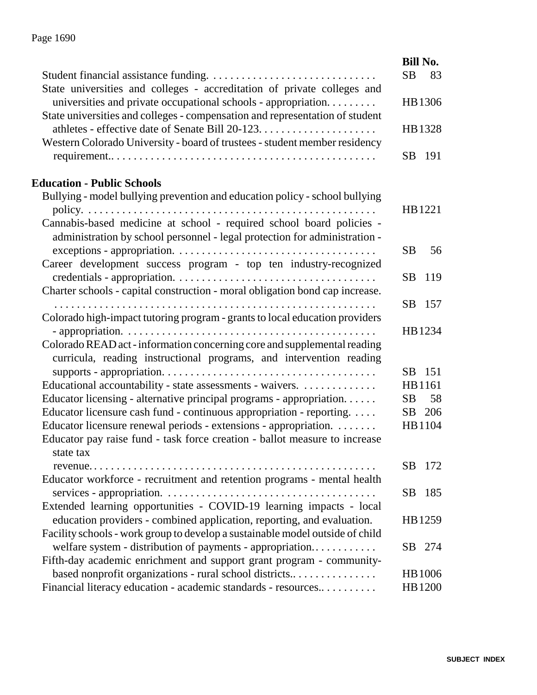|                                                                               | <b>Bill No.</b>  |
|-------------------------------------------------------------------------------|------------------|
|                                                                               | <b>SB</b><br>83  |
| State universities and colleges - accreditation of private colleges and       |                  |
| universities and private occupational schools - appropriation                 | HB1306           |
| State universities and colleges - compensation and representation of student  |                  |
|                                                                               | HB1328           |
| Western Colorado University - board of trustees - student member residency    |                  |
|                                                                               | SB 191           |
|                                                                               |                  |
| <b>Education - Public Schools</b>                                             |                  |
| Bullying - model bullying prevention and education policy - school bullying   |                  |
|                                                                               | HB1221           |
| Cannabis-based medicine at school - required school board policies -          |                  |
| administration by school personnel - legal protection for administration -    |                  |
|                                                                               | <b>SB</b><br>56  |
| Career development success program - top ten industry-recognized              |                  |
|                                                                               | <b>SB</b><br>119 |
| Charter schools - capital construction - moral obligation bond cap increase.  |                  |
|                                                                               | SB<br>157        |
| Colorado high-impact tutoring program - grants to local education providers   |                  |
|                                                                               | HB1234           |
| Colorado READ act - information concerning core and supplemental reading      |                  |
| curricula, reading instructional programs, and intervention reading           |                  |
|                                                                               | 151<br>SB        |
| Educational accountability - state assessments - waivers.                     | HB1161           |
| Educator licensing - alternative principal programs - appropriation           | <b>SB</b><br>58  |
| Educator licensure cash fund - continuous appropriation - reporting.          | SB 206           |
| Educator licensure renewal periods - extensions - appropriation.              | HB1104           |
| Educator pay raise fund - task force creation - ballot measure to increase    |                  |
| state tax                                                                     |                  |
| $revenue \ldots \ldots \ldots$                                                | SB<br>172        |
| Educator workforce - recruitment and retention programs - mental health       |                  |
|                                                                               | SB.<br>185       |
| Extended learning opportunities - COVID-19 learning impacts - local           |                  |
| education providers - combined application, reporting, and evaluation.        | HB1259           |
| Facility schools - work group to develop a sustainable model outside of child |                  |
| welfare system - distribution of payments - appropriation                     | SB<br>274        |
| Fifth-day academic enrichment and support grant program - community-          |                  |
| based nonprofit organizations - rural school districts                        | <b>HB</b> 1006   |
| Financial literacy education - academic standards - resources                 | HB 1200          |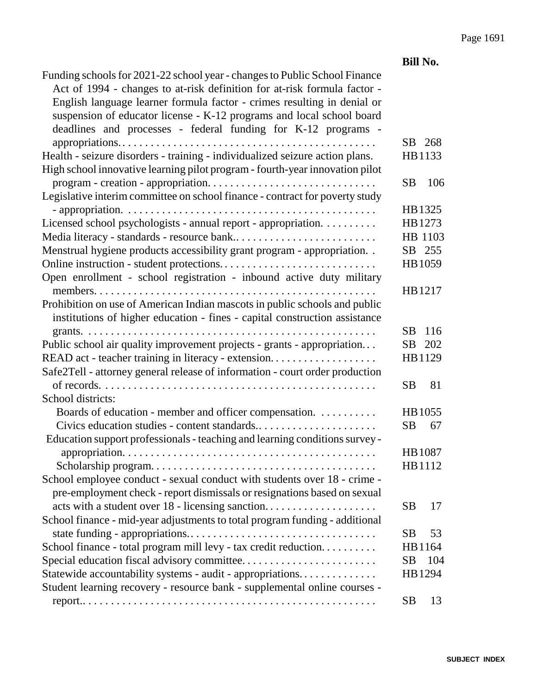|                                                                              | <b>Bill No.</b> |     |
|------------------------------------------------------------------------------|-----------------|-----|
| Funding schools for 2021-22 school year - changes to Public School Finance   |                 |     |
| Act of 1994 - changes to at-risk definition for at-risk formula factor -     |                 |     |
| English language learner formula factor - crimes resulting in denial or      |                 |     |
| suspension of educator license - K-12 programs and local school board        |                 |     |
| deadlines and processes - federal funding for K-12 programs -                |                 |     |
|                                                                              | SB 268          |     |
| Health - seizure disorders - training - individualized seizure action plans. | HB1133          |     |
| High school innovative learning pilot program - fourth-year innovation pilot |                 |     |
|                                                                              | <b>SB</b>       | 106 |
| Legislative interim committee on school finance - contract for poverty study |                 |     |
|                                                                              | HB1325          |     |
| Licensed school psychologists - annual report - appropriation.               | HB1273          |     |
| Media literacy - standards - resource bank                                   | HB 1103         |     |
| Menstrual hygiene products accessibility grant program - appropriation       | SB 255          |     |
|                                                                              | HB 1059         |     |
| Open enrollment - school registration - inbound active duty military         |                 |     |
|                                                                              | HB1217          |     |
| Prohibition on use of American Indian mascots in public schools and public   |                 |     |
| institutions of higher education - fines - capital construction assistance   |                 |     |
|                                                                              | SB              | 116 |
| Public school air quality improvement projects - grants - appropriation      | SB              | 202 |
| READ act - teacher training in literacy - extension                          | HB1129          |     |
| Safe2Tell - attorney general release of information - court order production |                 |     |
|                                                                              | <b>SB</b>       | 81  |
| School districts:                                                            |                 |     |
| Boards of education - member and officer compensation.                       | HB 1055         |     |
| Civics education studies - content standards                                 | <b>SB</b>       | 67  |
| Education support professionals - teaching and learning conditions survey -  |                 |     |
|                                                                              | HB1087          |     |
|                                                                              | HB1112          |     |
| School employee conduct - sexual conduct with students over 18 - crime -     |                 |     |
| pre-employment check - report dismissals or resignations based on sexual     |                 |     |
|                                                                              | SВ              | 17  |
| School finance - mid-year adjustments to total program funding - additional  |                 |     |
|                                                                              | SB              | 53  |
| School finance - total program mill levy - tax credit reduction              | HB1164          |     |
| Special education fiscal advisory committee                                  | SВ              | 104 |
| Statewide accountability systems - audit - appropriations                    | HB1294          |     |
| Student learning recovery - resource bank - supplemental online courses -    |                 |     |
|                                                                              | <b>SB</b>       | 13  |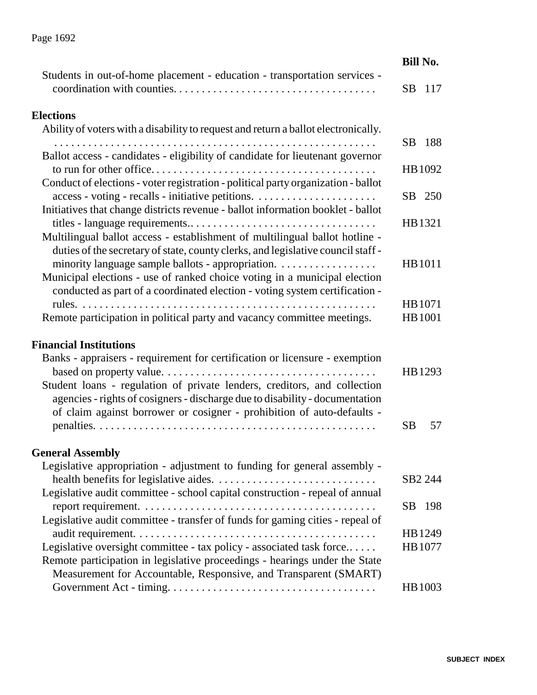|                                                                           | Bill No. |
|---------------------------------------------------------------------------|----------|
| Students in out-of-home placement - education - transportation services - |          |
|                                                                           | SB 117   |

#### **Elections**

| <b>Elections</b>                                                                                                                                                                                                                                                                                  |                 |
|---------------------------------------------------------------------------------------------------------------------------------------------------------------------------------------------------------------------------------------------------------------------------------------------------|-----------------|
| Ability of voters with a disability to request and return a ballot electronically.                                                                                                                                                                                                                |                 |
| Ballot access - candidates - eligibility of candidate for lieutenant governor                                                                                                                                                                                                                     | 188<br>SB.      |
|                                                                                                                                                                                                                                                                                                   | HB 1092         |
| Conduct of elections - voter registration - political party organization - ballot                                                                                                                                                                                                                 | 250<br>SB       |
| Initiatives that change districts revenue - ballot information booklet - ballot                                                                                                                                                                                                                   | HB1321          |
| Multilingual ballot access - establishment of multilingual ballot hotline -<br>duties of the secretary of state, county clerks, and legislative council staff -<br>minority language sample ballots - appropriation.<br>Municipal elections - use of ranked choice voting in a municipal election | HB1011          |
| conducted as part of a coordinated election - voting system certification -                                                                                                                                                                                                                       | HB 1071         |
| Remote participation in political party and vacancy committee meetings.                                                                                                                                                                                                                           | HB 1001         |
| <b>Financial Institutions</b>                                                                                                                                                                                                                                                                     |                 |
| Banks - appraisers - requirement for certification or licensure - exemption                                                                                                                                                                                                                       | HB1293          |
| Student loans - regulation of private lenders, creditors, and collection<br>agencies - rights of cosigners - discharge due to disability - documentation<br>of claim against borrower or cosigner - prohibition of auto-defaults -                                                                |                 |
|                                                                                                                                                                                                                                                                                                   | <b>SB</b><br>57 |
| <b>General Assembly</b>                                                                                                                                                                                                                                                                           |                 |
| Legislative appropriation - adjustment to funding for general assembly -                                                                                                                                                                                                                          |                 |

| Legislative appropriation - adjustment to funding for general assembly -      |                     |
|-------------------------------------------------------------------------------|---------------------|
|                                                                               | SB <sub>2</sub> 244 |
| Legislative audit committee - school capital construction - repeal of annual  |                     |
|                                                                               | SB 198              |
| Legislative audit committee - transfer of funds for gaming cities - repeal of |                     |
|                                                                               | HB1249              |
| Legislative oversight committee - tax policy - associated task force          | HB 1077             |
| Remote participation in legislative proceedings - hearings under the State    |                     |
| Measurement for Accountable, Responsive, and Transparent (SMART)              |                     |
|                                                                               | HB 1003             |

# Page 1692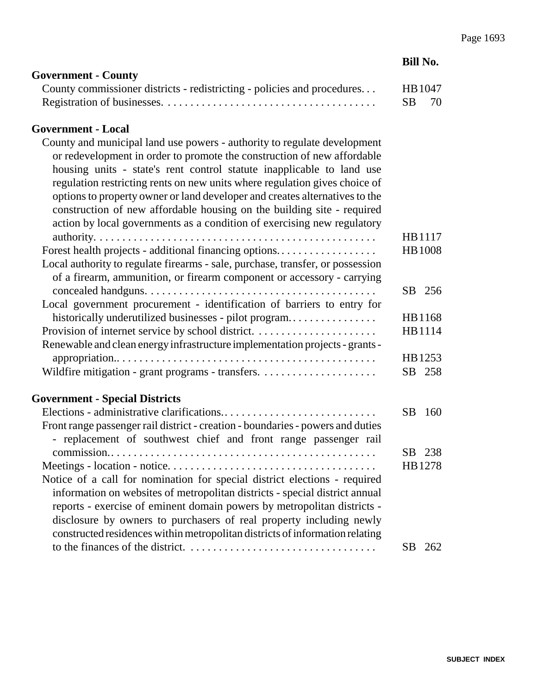| <b>Government - County</b>                                              |         |  |
|-------------------------------------------------------------------------|---------|--|
| County commissioner districts - redistricting - policies and procedures | HB 1047 |  |
|                                                                         | SB 70   |  |

#### **Government - Local**

| County and municipal land use powers - authority to regulate development<br>or redevelopment in order to promote the construction of new affordable<br>housing units - state's rent control statute inapplicable to land use<br>regulation restricting rents on new units where regulation gives choice of |                         |  |
|------------------------------------------------------------------------------------------------------------------------------------------------------------------------------------------------------------------------------------------------------------------------------------------------------------|-------------------------|--|
| options to property owner or land developer and creates alternatives to the<br>construction of new affordable housing on the building site - required                                                                                                                                                      |                         |  |
| action by local governments as a condition of exercising new regulatory                                                                                                                                                                                                                                    |                         |  |
| Forest health projects - additional financing options                                                                                                                                                                                                                                                      | HB1117<br><b>HB1008</b> |  |
| Local authority to regulate firearms - sale, purchase, transfer, or possession                                                                                                                                                                                                                             |                         |  |
| of a firearm, ammunition, or firearm component or accessory - carrying                                                                                                                                                                                                                                     | SB 256                  |  |
| Local government procurement - identification of barriers to entry for                                                                                                                                                                                                                                     |                         |  |
| historically underutilized businesses - pilot program                                                                                                                                                                                                                                                      | HB1168                  |  |
|                                                                                                                                                                                                                                                                                                            | HB1114                  |  |
| Renewable and clean energy infrastructure implementation projects - grants -                                                                                                                                                                                                                               | HB 1253                 |  |
|                                                                                                                                                                                                                                                                                                            | 258<br>SB               |  |
| <b>Government - Special Districts</b>                                                                                                                                                                                                                                                                      |                         |  |
|                                                                                                                                                                                                                                                                                                            | SВ<br>160               |  |
| Front range passenger rail district - creation - boundaries - powers and duties                                                                                                                                                                                                                            |                         |  |

| Front range passenger rail district - creation - boundaries - powers and duties |        |  |
|---------------------------------------------------------------------------------|--------|--|
| - replacement of southwest chief and front range passenger rail                 |        |  |
|                                                                                 | SB 238 |  |
|                                                                                 | HB1278 |  |
| Notice of a call for nomination for special district elections - required       |        |  |
| information on websites of metropolitan districts - special district annual     |        |  |
| reports - exercise of eminent domain powers by metropolitan districts -         |        |  |
| disclosure by owners to purchasers of real property including newly             |        |  |
| constructed residences within metropolitan districts of information relating    |        |  |
|                                                                                 |        |  |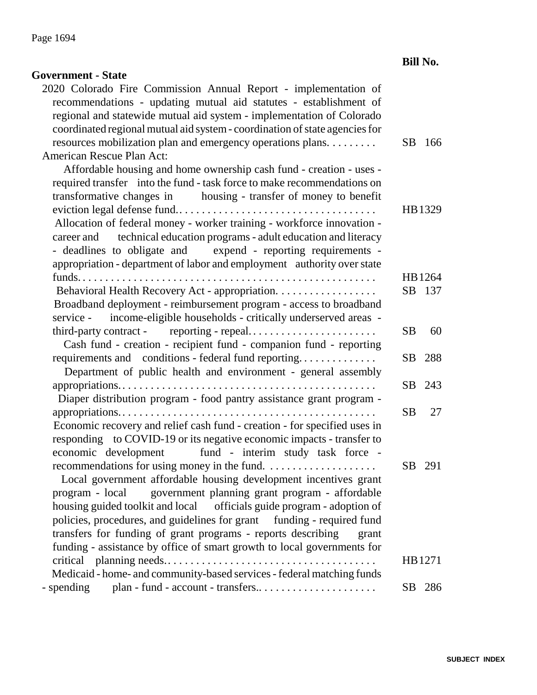| <b>Government - State</b>                                                                                                            |           |       |
|--------------------------------------------------------------------------------------------------------------------------------------|-----------|-------|
| 2020 Colorado Fire Commission Annual Report - implementation of<br>recommendations - updating mutual aid statutes - establishment of |           |       |
| regional and statewide mutual aid system - implementation of Colorado                                                                |           |       |
| coordinated regional mutual aid system - coordination of state agencies for                                                          |           |       |
| resources mobilization plan and emergency operations plans.                                                                          | SB        | - 166 |
| American Rescue Plan Act:                                                                                                            |           |       |
| Affordable housing and home ownership cash fund - creation - uses -                                                                  |           |       |
| required transfer into the fund - task force to make recommendations on                                                              |           |       |
| transformative changes in housing - transfer of money to benefit                                                                     |           |       |
|                                                                                                                                      | HB1329    |       |
| Allocation of federal money - worker training - workforce innovation -                                                               |           |       |
| technical education programs - adult education and literacy<br>career and                                                            |           |       |
| - deadlines to obligate and expend - reporting requirements -                                                                        |           |       |
| appropriation - department of labor and employment authority over state                                                              |           |       |
|                                                                                                                                      | HB1264    |       |
| Behavioral Health Recovery Act - appropriation.                                                                                      | SB 137    |       |
| Broadband deployment - reimbursement program - access to broadband                                                                   |           |       |
| service - income-eligible households - critically underserved areas -                                                                |           |       |
|                                                                                                                                      | <b>SB</b> | 60    |
| Cash fund - creation - recipient fund - companion fund - reporting                                                                   |           |       |
| requirements and conditions - federal fund reporting                                                                                 | SB        | 288   |
| Department of public health and environment - general assembly                                                                       |           |       |
|                                                                                                                                      | SB.       | 243   |
| Diaper distribution program - food pantry assistance grant program -                                                                 |           |       |
|                                                                                                                                      | SB.       | 27    |
| Economic recovery and relief cash fund - creation - for specified uses in                                                            |           |       |
| responding to COVID-19 or its negative economic impacts - transfer to                                                                |           |       |
| economic development fund - interim study task force -                                                                               |           |       |
|                                                                                                                                      | SB 291    |       |
| Local government affordable housing development incentives grant                                                                     |           |       |
| government planning grant program - affordable<br>program - local                                                                    |           |       |
| housing guided toolkit and local officials guide program - adoption of                                                               |           |       |
| policies, procedures, and guidelines for grant funding - required fund                                                               |           |       |
| transfers for funding of grant programs - reports describing<br>grant                                                                |           |       |
| funding - assistance by office of smart growth to local governments for                                                              |           |       |
| critical planning needs                                                                                                              | HB1271    |       |
| Medicaid - home- and community-based services - federal matching funds                                                               |           |       |
| plan - fund - account - transfers<br>- spending                                                                                      | SВ        | 286   |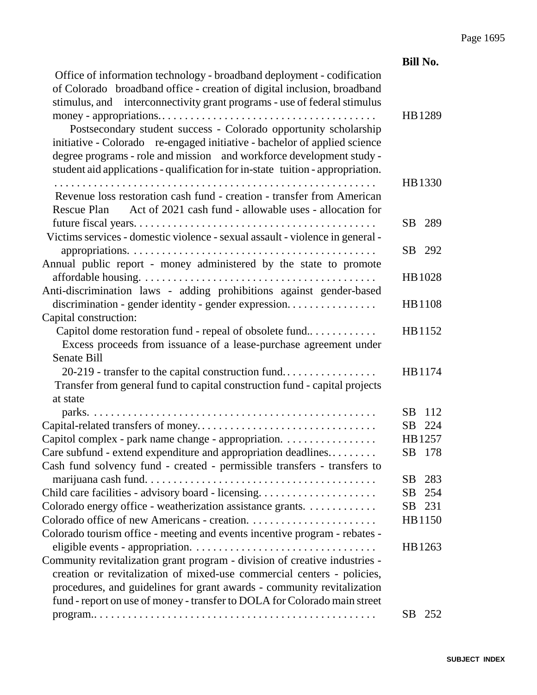|                                                                                                                                                                                                                                                                                                                                                                                                                                                                                                                                          | <b>Bill No.</b>  |
|------------------------------------------------------------------------------------------------------------------------------------------------------------------------------------------------------------------------------------------------------------------------------------------------------------------------------------------------------------------------------------------------------------------------------------------------------------------------------------------------------------------------------------------|------------------|
| Office of information technology - broadband deployment - codification<br>of Colorado broadband office - creation of digital inclusion, broadband<br>stimulus, and interconnectivity grant programs - use of federal stimulus<br>Postsecondary student success - Colorado opportunity scholarship<br>initiative - Colorado re-engaged initiative - bachelor of applied science<br>degree programs - role and mission and workforce development study -<br>student aid applications - qualification for in-state tuition - appropriation. | HB1289           |
| Revenue loss restoration cash fund - creation - transfer from American<br>Rescue Plan Act of 2021 cash fund - allowable uses - allocation for                                                                                                                                                                                                                                                                                                                                                                                            | HB1330           |
| Victims services - domestic violence - sexual assault - violence in general -                                                                                                                                                                                                                                                                                                                                                                                                                                                            | SB 289           |
| Annual public report - money administered by the state to promote                                                                                                                                                                                                                                                                                                                                                                                                                                                                        | SB 292           |
| Anti-discrimination laws - adding prohibitions against gender-based                                                                                                                                                                                                                                                                                                                                                                                                                                                                      | HB 1028          |
| discrimination - gender identity - gender expression<br>Capital construction:                                                                                                                                                                                                                                                                                                                                                                                                                                                            | HB1108           |
| Capitol dome restoration fund - repeal of obsolete fund<br>Excess proceeds from issuance of a lease-purchase agreement under<br><b>Senate Bill</b>                                                                                                                                                                                                                                                                                                                                                                                       | HB1152           |
| 20-219 - transfer to the capital construction fund<br>Transfer from general fund to capital construction fund - capital projects<br>at state                                                                                                                                                                                                                                                                                                                                                                                             | HB1174           |
|                                                                                                                                                                                                                                                                                                                                                                                                                                                                                                                                          | SB.<br>112       |
|                                                                                                                                                                                                                                                                                                                                                                                                                                                                                                                                          | SB<br>224        |
| Capitol complex - park name change - appropriation.                                                                                                                                                                                                                                                                                                                                                                                                                                                                                      | HB1257           |
| Care subfund - extend expenditure and appropriation deadlines<br>Cash fund solvency fund - created - permissible transfers - transfers to                                                                                                                                                                                                                                                                                                                                                                                                | - 178<br>SВ      |
|                                                                                                                                                                                                                                                                                                                                                                                                                                                                                                                                          | 283<br>SВ        |
| Child care facilities - advisory board - licensing                                                                                                                                                                                                                                                                                                                                                                                                                                                                                       | <b>SB</b><br>254 |
| Colorado energy office - weatherization assistance grants.                                                                                                                                                                                                                                                                                                                                                                                                                                                                               | <b>SB</b><br>231 |
|                                                                                                                                                                                                                                                                                                                                                                                                                                                                                                                                          | HB1150           |
| Colorado tourism office - meeting and events incentive program - rebates -                                                                                                                                                                                                                                                                                                                                                                                                                                                               |                  |
|                                                                                                                                                                                                                                                                                                                                                                                                                                                                                                                                          | HB1263           |
| Community revitalization grant program - division of creative industries -                                                                                                                                                                                                                                                                                                                                                                                                                                                               |                  |
| creation or revitalization of mixed-use commercial centers - policies,                                                                                                                                                                                                                                                                                                                                                                                                                                                                   |                  |
| procedures, and guidelines for grant awards - community revitalization                                                                                                                                                                                                                                                                                                                                                                                                                                                                   |                  |
| fund - report on use of money - transfer to DOLA for Colorado main street                                                                                                                                                                                                                                                                                                                                                                                                                                                                |                  |
|                                                                                                                                                                                                                                                                                                                                                                                                                                                                                                                                          | SB<br>252        |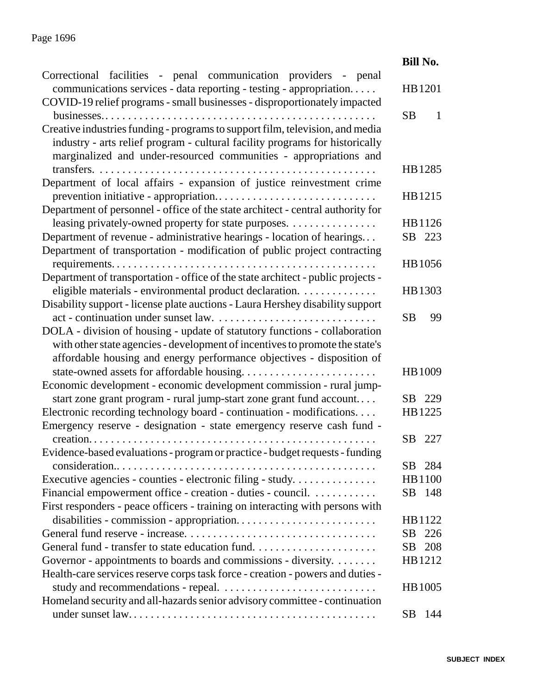### Page 1696

|                                                                                                                                                   | <b>Bill No.</b> |
|---------------------------------------------------------------------------------------------------------------------------------------------------|-----------------|
| Correctional facilities - penal communication providers - penal<br>communications services - data reporting - testing - appropriation             | HB1201          |
| COVID-19 relief programs - small businesses - disproportionately impacted                                                                         |                 |
|                                                                                                                                                   | <b>SB</b><br>1  |
| Creative industries funding - programs to support film, television, and media                                                                     |                 |
| industry - arts relief program - cultural facility programs for historically<br>marginalized and under-resourced communities - appropriations and |                 |
|                                                                                                                                                   | HB1285          |
| Department of local affairs - expansion of justice reinvestment crime                                                                             |                 |
|                                                                                                                                                   | HB1215          |
| Department of personnel - office of the state architect - central authority for                                                                   |                 |
| leasing privately-owned property for state purposes.                                                                                              | HB 1126         |
| Department of revenue - administrative hearings - location of hearings                                                                            | SB 223          |
| Department of transportation - modification of public project contracting                                                                         |                 |
|                                                                                                                                                   | HB1056          |
| Department of transportation - office of the state architect - public projects -                                                                  |                 |
| eligible materials - environmental product declaration.                                                                                           | HB1303          |
| Disability support - license plate auctions - Laura Hershey disability support                                                                    |                 |
|                                                                                                                                                   | 99<br><b>SB</b> |
| DOLA - division of housing - update of statutory functions - collaboration                                                                        |                 |
| with other state agencies - development of incentives to promote the state's                                                                      |                 |
| affordable housing and energy performance objectives - disposition of                                                                             |                 |
|                                                                                                                                                   | HB 1009         |
| Economic development - economic development commission - rural jump-                                                                              |                 |
| start zone grant program - rural jump-start zone grant fund account                                                                               | SB 229          |
| Electronic recording technology board - continuation - modifications.                                                                             | HB1225          |
| Emergency reserve - designation - state emergency reserve cash fund -                                                                             |                 |
|                                                                                                                                                   | SB 227          |
| Evidence-based evaluations - program or practice - budget requests - funding                                                                      |                 |
|                                                                                                                                                   | SB 284          |
| Executive agencies - counties - electronic filing - study                                                                                         | HB1100          |
| Financial empowerment office - creation - duties - council.                                                                                       | SB 148          |
| First responders - peace officers - training on interacting with persons with                                                                     |                 |
|                                                                                                                                                   | HB 1122         |
|                                                                                                                                                   | SB 226          |
|                                                                                                                                                   | 208<br>SB       |
| Governor - appointments to boards and commissions - diversity.                                                                                    | HB1212          |
| Health-care services reserve corps task force - creation - powers and duties -                                                                    |                 |
|                                                                                                                                                   | HB 1005         |
|                                                                                                                                                   |                 |
| Homeland security and all-hazards senior advisory committee - continuation                                                                        |                 |
|                                                                                                                                                   | SB<br>144       |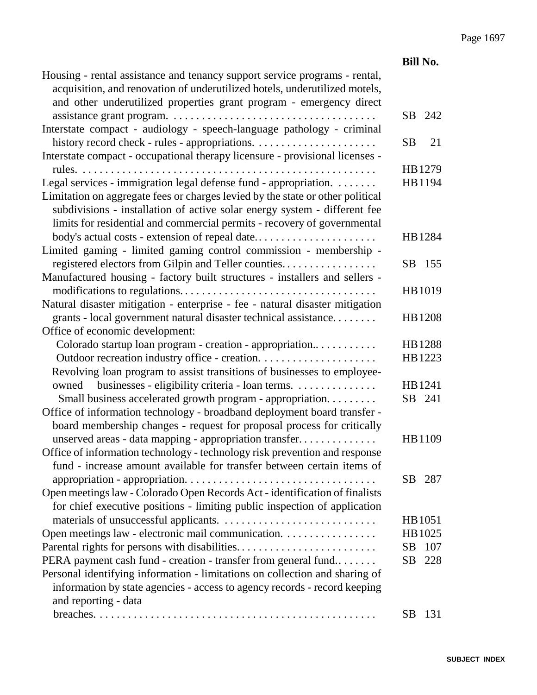|                                                                                                                                                                                                                                                                                                             | <b>Bill No.</b> |
|-------------------------------------------------------------------------------------------------------------------------------------------------------------------------------------------------------------------------------------------------------------------------------------------------------------|-----------------|
| Housing - rental assistance and tenancy support service programs - rental,<br>acquisition, and renovation of underutilized hotels, underutilized motels,<br>and other underutilized properties grant program - emergency direct                                                                             |                 |
|                                                                                                                                                                                                                                                                                                             | 242<br>SB       |
| Interstate compact - audiology - speech-language pathology - criminal                                                                                                                                                                                                                                       |                 |
|                                                                                                                                                                                                                                                                                                             | 21<br><b>SB</b> |
| Interstate compact - occupational therapy licensure - provisional licenses -                                                                                                                                                                                                                                |                 |
| rules.                                                                                                                                                                                                                                                                                                      | HB1279          |
| Legal services - immigration legal defense fund - appropriation.<br>Limitation on aggregate fees or charges levied by the state or other political<br>subdivisions - installation of active solar energy system - different fee<br>limits for residential and commercial permits - recovery of governmental | HB1194          |
| body's actual costs - extension of repeal date                                                                                                                                                                                                                                                              | HB1284          |
| Limited gaming - limited gaming control commission - membership -                                                                                                                                                                                                                                           |                 |
| registered electors from Gilpin and Teller counties                                                                                                                                                                                                                                                         | SB 155          |
| Manufactured housing - factory built structures - installers and sellers -                                                                                                                                                                                                                                  |                 |
|                                                                                                                                                                                                                                                                                                             | HB1019          |
| Natural disaster mitigation - enterprise - fee - natural disaster mitigation                                                                                                                                                                                                                                |                 |
| grants - local government natural disaster technical assistance                                                                                                                                                                                                                                             | HB1208          |
| Office of economic development:                                                                                                                                                                                                                                                                             |                 |
| Colorado startup loan program - creation - appropriation                                                                                                                                                                                                                                                    | HB1288          |
|                                                                                                                                                                                                                                                                                                             | HB1223          |
| Revolving loan program to assist transitions of businesses to employee-                                                                                                                                                                                                                                     |                 |
| owned businesses - eligibility criteria - loan terms.                                                                                                                                                                                                                                                       | HB1241          |
| Small business accelerated growth program - appropriation                                                                                                                                                                                                                                                   | SB 241          |
| Office of information technology - broadband deployment board transfer -                                                                                                                                                                                                                                    |                 |
| board membership changes - request for proposal process for critically                                                                                                                                                                                                                                      |                 |
| unserved areas - data mapping - appropriation transfer                                                                                                                                                                                                                                                      | HB1109          |
| Office of information technology - technology risk prevention and response                                                                                                                                                                                                                                  |                 |
| fund - increase amount available for transfer between certain items of                                                                                                                                                                                                                                      |                 |
|                                                                                                                                                                                                                                                                                                             | SB<br>287       |
| Open meetings law - Colorado Open Records Act - identification of finalists                                                                                                                                                                                                                                 |                 |
| for chief executive positions - limiting public inspection of application                                                                                                                                                                                                                                   |                 |
|                                                                                                                                                                                                                                                                                                             | HB1051          |
| Open meetings law - electronic mail communication.                                                                                                                                                                                                                                                          | HB 1025         |
|                                                                                                                                                                                                                                                                                                             | 107<br>SВ       |
| PERA payment cash fund - creation - transfer from general fund                                                                                                                                                                                                                                              | SB<br>228       |
| Personal identifying information - limitations on collection and sharing of                                                                                                                                                                                                                                 |                 |
| information by state agencies - access to agency records - record keeping                                                                                                                                                                                                                                   |                 |
| and reporting - data                                                                                                                                                                                                                                                                                        |                 |
|                                                                                                                                                                                                                                                                                                             | SВ<br>131       |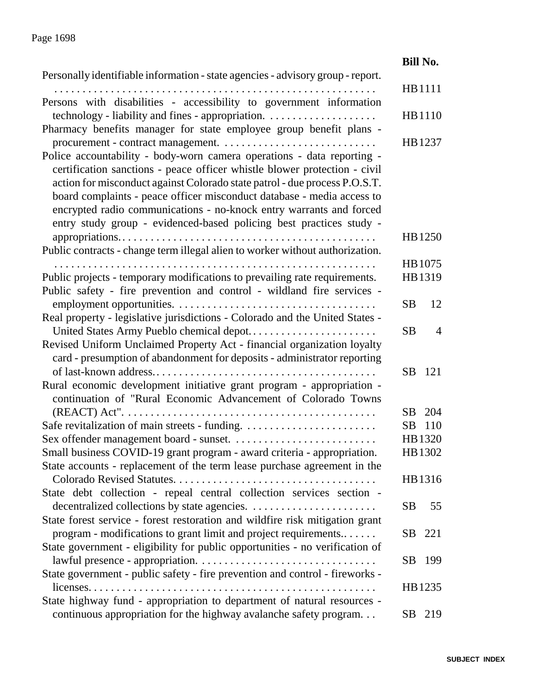|                                                                                                                                                      | <b>Bill No.</b>             |
|------------------------------------------------------------------------------------------------------------------------------------------------------|-----------------------------|
| Personally identifiable information - state agencies - advisory group - report.                                                                      |                             |
| Persons with disabilities - accessibility to government information                                                                                  | HB1111                      |
|                                                                                                                                                      | HB1110                      |
| Pharmacy benefits manager for state employee group benefit plans -                                                                                   | HB1237                      |
| Police accountability - body-worn camera operations - data reporting -<br>certification sanctions - peace officer whistle blower protection - civil  |                             |
| action for misconduct against Colorado state patrol - due process P.O.S.T.<br>board complaints - peace officer misconduct database - media access to |                             |
| encrypted radio communications - no-knock entry warrants and forced<br>entry study group - evidenced-based policing best practices study -           |                             |
| Public contracts - change term illegal alien to worker without authorization.                                                                        | HB 1250                     |
|                                                                                                                                                      | HB 1075                     |
| Public projects - temporary modifications to prevailing rate requirements.                                                                           | HB1319                      |
| Public safety - fire prevention and control - wildland fire services -                                                                               |                             |
|                                                                                                                                                      | <b>SB</b><br>12             |
| Real property - legislative jurisdictions - Colorado and the United States -                                                                         |                             |
|                                                                                                                                                      | <b>SB</b><br>$\overline{4}$ |
| Revised Uniform Unclaimed Property Act - financial organization loyalty                                                                              |                             |
| card - presumption of abandonment for deposits - administrator reporting                                                                             |                             |
|                                                                                                                                                      | SB<br>121                   |
| Rural economic development initiative grant program - appropriation -                                                                                |                             |
| continuation of "Rural Economic Advancement of Colorado Towns                                                                                        |                             |
|                                                                                                                                                      | SB 204                      |
|                                                                                                                                                      | 110<br><b>SB</b>            |
|                                                                                                                                                      | HB1320                      |
| Small business COVID-19 grant program - award criteria - appropriation.                                                                              | HB1302                      |
| State accounts - replacement of the term lease purchase agreement in the                                                                             |                             |
|                                                                                                                                                      | HB1316                      |
| State debt collection - repeal central collection services section -                                                                                 | 55                          |
|                                                                                                                                                      | <b>SB</b>                   |
| State forest service - forest restoration and wildfire risk mitigation grant                                                                         |                             |
| program - modifications to grant limit and project requirements                                                                                      | SB 221                      |
| State government - eligibility for public opportunities - no verification of                                                                         |                             |
|                                                                                                                                                      | SB.<br>199                  |
| State government - public safety - fire prevention and control - fireworks -                                                                         |                             |
|                                                                                                                                                      | HB1235                      |
| State highway fund - appropriation to department of natural resources -                                                                              |                             |
| continuous appropriation for the highway avalanche safety program.                                                                                   | SB<br>219                   |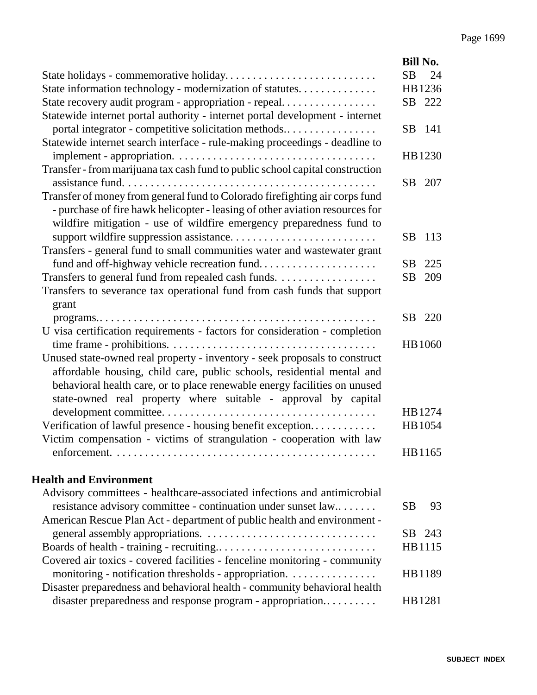|                                                                                                                                    | <b>Bill No.</b>  |
|------------------------------------------------------------------------------------------------------------------------------------|------------------|
|                                                                                                                                    | SB<br>24         |
| State information technology - modernization of statutes.                                                                          | HB1236           |
| State recovery audit program - appropriation - repeal                                                                              | SB 222           |
| Statewide internet portal authority - internet portal development - internet                                                       |                  |
| portal integrator - competitive solicitation methods                                                                               | SB<br>-141       |
| Statewide internet search interface - rule-making proceedings - deadline to                                                        |                  |
|                                                                                                                                    | HB1230           |
| Transfer - from marijuana tax cash fund to public school capital construction                                                      |                  |
|                                                                                                                                    | 207<br>SB        |
| Transfer of money from general fund to Colorado firefighting air corps fund                                                        |                  |
| - purchase of fire hawk helicopter - leasing of other aviation resources for                                                       |                  |
| wildfire mitigation - use of wildfire emergency preparedness fund to                                                               |                  |
|                                                                                                                                    | <b>SB</b><br>113 |
| Transfers - general fund to small communities water and wastewater grant                                                           |                  |
| fund and off-highway vehicle recreation fund                                                                                       | SB<br>225        |
| Transfers to general fund from repealed cash funds.                                                                                | <b>SB</b><br>209 |
| Transfers to severance tax operational fund from cash funds that support                                                           |                  |
| grant                                                                                                                              | SB<br>220        |
| U visa certification requirements - factors for consideration - completion                                                         |                  |
|                                                                                                                                    | <b>HB</b> 1060   |
| Unused state-owned real property - inventory - seek proposals to construct                                                         |                  |
| affordable housing, child care, public schools, residential mental and                                                             |                  |
| behavioral health care, or to place renewable energy facilities on unused                                                          |                  |
| state-owned real property where suitable - approval by capital                                                                     |                  |
|                                                                                                                                    | HB1274           |
| Verification of lawful presence - housing benefit exception                                                                        | HB 1054          |
| Victim compensation - victims of strangulation - cooperation with law                                                              |                  |
|                                                                                                                                    | HB1165           |
|                                                                                                                                    |                  |
| <b>Health and Environment</b>                                                                                                      |                  |
| Advisory committees - healthcare-associated infections and antimicrobial                                                           |                  |
| resistance advisory committee - continuation under sunset law                                                                      | SВ<br>93         |
| American Rescue Plan Act - department of public health and environment -                                                           |                  |
|                                                                                                                                    | SB 243           |
|                                                                                                                                    | HB1115           |
| Covered air toxics - covered facilities - fenceline monitoring - community                                                         |                  |
| monitoring - notification thresholds - appropriation.<br>Disaster preparedness and behavioral health - community behavioral health | HB1189           |
| disaster preparedness and response program - appropriation                                                                         | HB1281           |
|                                                                                                                                    |                  |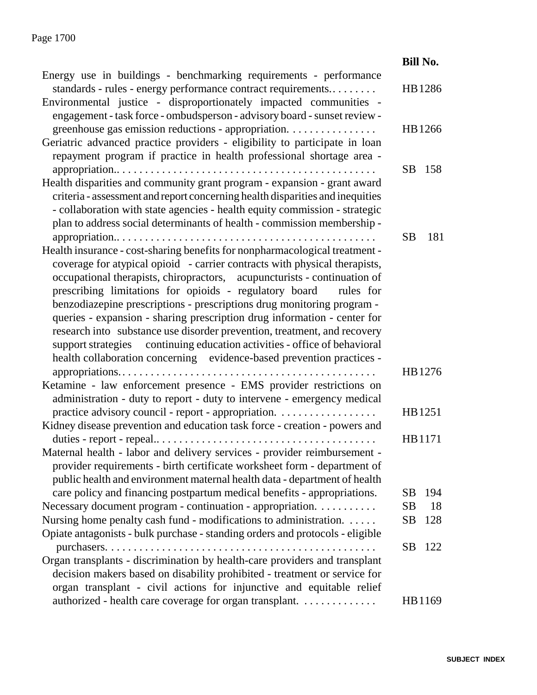|                                                                                                                                                                                                                                                                                                                    | <b>Bill No.</b>  |
|--------------------------------------------------------------------------------------------------------------------------------------------------------------------------------------------------------------------------------------------------------------------------------------------------------------------|------------------|
| Energy use in buildings - benchmarking requirements - performance<br>standards - rules - energy performance contract requirements                                                                                                                                                                                  | HB1286           |
| Environmental justice - disproportionately impacted communities -<br>engagement - task force - ombudsperson - advisory board - sunset review -                                                                                                                                                                     |                  |
| greenhouse gas emission reductions - appropriation.<br>Geriatric advanced practice providers - eligibility to participate in loan                                                                                                                                                                                  | HB1266           |
| repayment program if practice in health professional shortage area -                                                                                                                                                                                                                                               |                  |
|                                                                                                                                                                                                                                                                                                                    | SB.<br>158       |
| Health disparities and community grant program - expansion - grant award<br>criteria - assessment and report concerning health disparities and inequities<br>- collaboration with state agencies - health equity commission - strategic<br>plan to address social determinants of health - commission membership - |                  |
|                                                                                                                                                                                                                                                                                                                    | 181<br><b>SB</b> |
| Health insurance - cost-sharing benefits for nonpharmacological treatment -                                                                                                                                                                                                                                        |                  |
| coverage for atypical opioid - carrier contracts with physical therapists,<br>occupational therapists, chiropractors, acupuncturists - continuation of                                                                                                                                                             |                  |
| prescribing limitations for opioids - regulatory board<br>rules for                                                                                                                                                                                                                                                |                  |
| benzodiazepine prescriptions - prescriptions drug monitoring program -                                                                                                                                                                                                                                             |                  |
| queries - expansion - sharing prescription drug information - center for                                                                                                                                                                                                                                           |                  |
| research into substance use disorder prevention, treatment, and recovery                                                                                                                                                                                                                                           |                  |
| support strategies continuing education activities - office of behavioral                                                                                                                                                                                                                                          |                  |
| health collaboration concerning evidence-based prevention practices -                                                                                                                                                                                                                                              |                  |
|                                                                                                                                                                                                                                                                                                                    | HB1276           |
| Ketamine - law enforcement presence - EMS provider restrictions on<br>administration - duty to report - duty to intervene - emergency medical                                                                                                                                                                      |                  |
| practice advisory council - report - appropriation.                                                                                                                                                                                                                                                                | HB1251           |
| Kidney disease prevention and education task force - creation - powers and                                                                                                                                                                                                                                         |                  |
|                                                                                                                                                                                                                                                                                                                    | HB1171           |
| Maternal health - labor and delivery services - provider reimbursement -<br>provider requirements - birth certificate worksheet form - department of<br>public health and environment maternal health data - department of health                                                                                  |                  |
| care policy and financing postpartum medical benefits - appropriations.                                                                                                                                                                                                                                            | SВ<br>194        |
| Necessary document program - continuation - appropriation.                                                                                                                                                                                                                                                         | 18<br>SB         |
| Nursing home penalty cash fund - modifications to administration.                                                                                                                                                                                                                                                  | <b>SB</b><br>128 |
| Opiate antagonists - bulk purchase - standing orders and protocols - eligible                                                                                                                                                                                                                                      |                  |
|                                                                                                                                                                                                                                                                                                                    | <b>SB</b><br>122 |
| Organ transplants - discrimination by health-care providers and transplant                                                                                                                                                                                                                                         |                  |
| decision makers based on disability prohibited - treatment or service for                                                                                                                                                                                                                                          |                  |
| organ transplant - civil actions for injunctive and equitable relief                                                                                                                                                                                                                                               |                  |
| authorized - health care coverage for organ transplant.                                                                                                                                                                                                                                                            | HB1169           |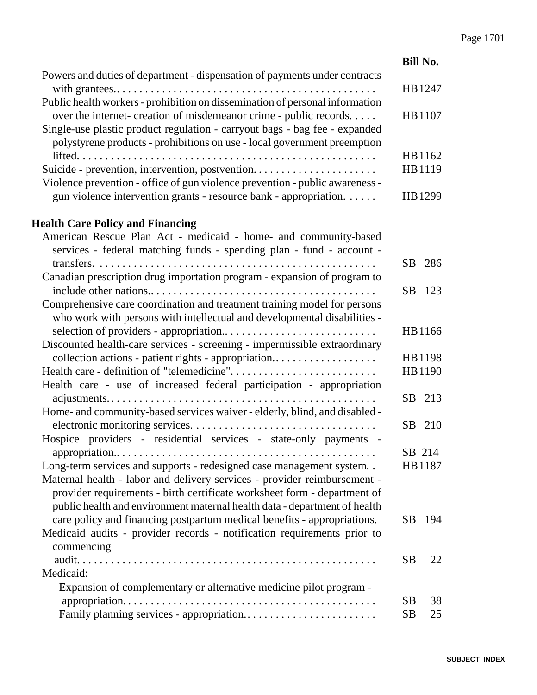|                                                                              | <b>Bill No.</b> |        |
|------------------------------------------------------------------------------|-----------------|--------|
| Powers and duties of department - dispensation of payments under contracts   |                 |        |
|                                                                              | HB1247          |        |
| Public health workers - prohibition on dissemination of personal information |                 |        |
| over the internet- creation of misdemeanor crime - public records            | HB1107          |        |
| Single-use plastic product regulation - carryout bags - bag fee - expanded   |                 |        |
| polystyrene products - prohibitions on use - local government preemption     |                 |        |
|                                                                              |                 | HB1162 |
| Suicide - prevention, intervention, postvention                              | HB1119          |        |
| Violence prevention - office of gun violence prevention - public awareness - |                 |        |
| gun violence intervention grants - resource bank - appropriation.            |                 | HB1299 |
| <b>Health Care Policy and Financing</b>                                      |                 |        |
| American Rescue Plan Act - medicaid - home- and community-based              |                 |        |
| services - federal matching funds - spending plan - fund - account -         |                 |        |
|                                                                              | SB              | 286    |
| Canadian prescription drug importation program - expansion of program to     |                 |        |
|                                                                              | <b>SB</b>       | 123    |
| Comprehensive care coordination and treatment training model for persons     |                 |        |
| who work with persons with intellectual and developmental disabilities -     |                 |        |
|                                                                              | HB1166          |        |
| Discounted health-care services - screening - impermissible extraordinary    |                 |        |
| collection actions - patient rights - appropriation                          | HB1198          |        |
|                                                                              |                 | HB1190 |
| Health care - use of increased federal participation - appropriation         |                 |        |
|                                                                              | SB 213          |        |
| Home- and community-based services waiver - elderly, blind, and disabled -   |                 |        |
|                                                                              | SB              | 210    |
| Hospice providers - residential services - state-only payments -             |                 |        |
|                                                                              | SB 214          |        |
| Long-term services and supports - redesigned case management system          | HB1187          |        |
| Maternal health - labor and delivery services - provider reimbursement -     |                 |        |
| provider requirements - birth certificate worksheet form - department of     |                 |        |
| public health and environment maternal health data - department of health    |                 |        |
| care policy and financing postpartum medical benefits - appropriations.      | SB              | 194    |
| Medicaid audits - provider records - notification requirements prior to      |                 |        |
| commencing                                                                   |                 |        |
|                                                                              | <b>SB</b>       | 22     |
| Medicaid:                                                                    |                 |        |
| Expansion of complementary or alternative medicine pilot program -           |                 |        |
|                                                                              | <b>SB</b>       | 38     |
| Family planning services - appropriation                                     | <b>SB</b>       | 25     |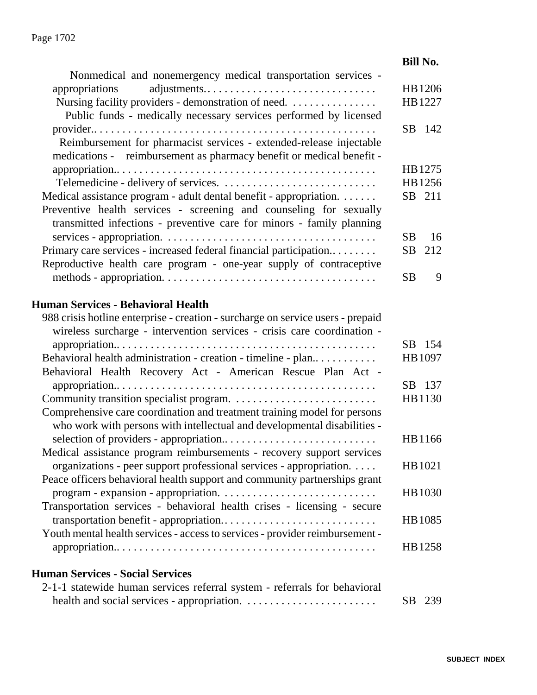#### **Bill No.** Nonmedical and nonemergency medical transportation services appropriations adjustments.. . . . . . . . . . . . . . . . . . . . . . . . . . . . . . HB1206 Nursing facility providers - demonstration of need. . . . . . . . . . . . . . . . . HB1227 Public funds - medically necessary services performed by licensed provider.. . . . . . . . . . . . . . . . . . . . . . . . . . . . . . . . . . . . . . . . . . . . . . . . . . SB 142 Reimbursement for pharmacist services - extended-release injectable medications - reimbursement as pharmacy benefit or medical benefit appropriation.. . . . . . . . . . . . . . . . . . . . . . . . . . . . . . . . . . . . . . . . . . . . . . HB1275 Telemedicine - delivery of services. . . . . . . . . . . . . . . . . . . . . . . . . . . . HB1256 Medical assistance program - adult dental benefit - appropriation. . . . . . . SB 211 Preventive health services - screening and counseling for sexually transmitted infections - preventive care for minors - family planning services - appropriation. . . . . . . . . . . . . . . . . . . . . . . . . . . . . . . . . . . . . . SB 16 Primary care services - increased federal financial participation......... SB 212 Reproductive health care program - one-year supply of contraceptive methods - appropriation. . . . . . . . . . . . . . . . . . . . . . . . . . . . . . . . . . . . . . SB 9 **Human Services - Behavioral Health** 988 crisis hotline enterprise - creation - surcharge on service users - prepaid wireless surcharge - intervention services - crisis care coordination appropriation.. . . . . . . . . . . . . . . . . . . . . . . . . . . . . . . . . . . . . . . . . . . . . . SB 154 Behavioral health administration - creation - timeline - plan.. . . . . . . . . . . HB1097 Behavioral Health Recovery Act - American Rescue Plan Act appropriation.. . . . . . . . . . . . . . . . . . . . . . . . . . . . . . . . . . . . . . . . . . . . . . SB 137 Community transition specialist program. . . . . . . . . . . . . . . . . . . . . . . . . . HB1130 Comprehensive care coordination and treatment training model for persons who work with persons with intellectual and developmental disabilities selection of providers - appropriation.. . . . . . . . . . . . . . . . . . . . . . . . . . . HB1166 Medical assistance program reimbursements - recovery support services organizations - peer support professional services - appropriation. . . . . HB1021 Peace officers behavioral health support and community partnerships grant program - expansion - appropriation. . . . . . . . . . . . . . . . . . . . . . . . . . . . HB1030 Transportation services - behavioral health crises - licensing - secure transportation benefit - appropriation.. . . . . . . . . . . . . . . . . . . . . . . . . . . HB1085 Youth mental health services - access to services - provider reimbursement appropriation.. . . . . . . . . . . . . . . . . . . . . . . . . . . . . . . . . . . . . . . . . . . . . . HB1258 **Human Services - Social Services**

| 2-1-1 statewide human services referral system - referrals for behavioral |        |  |
|---------------------------------------------------------------------------|--------|--|
|                                                                           | SB 239 |  |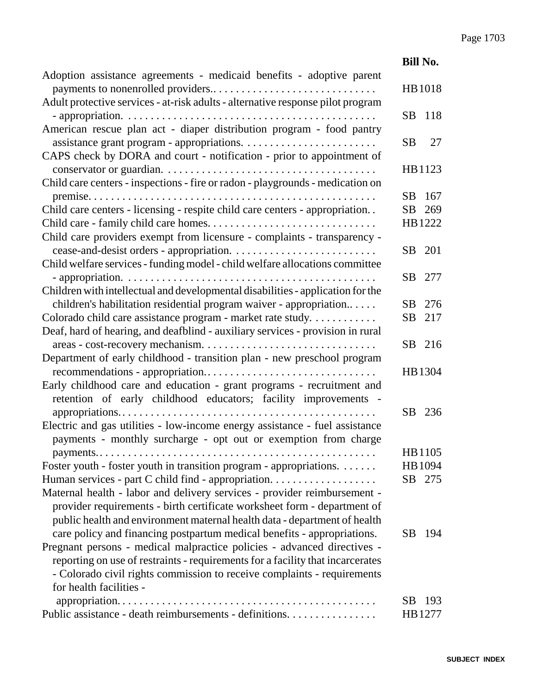|                                                                                                                                                                                                                                   | <b>Bill No.</b>  |
|-----------------------------------------------------------------------------------------------------------------------------------------------------------------------------------------------------------------------------------|------------------|
| Adoption assistance agreements - medicaid benefits - adoptive parent                                                                                                                                                              | HB1018           |
| Adult protective services - at-risk adults - alternative response pilot program                                                                                                                                                   | 118<br>SB        |
| American rescue plan act - diaper distribution program - food pantry                                                                                                                                                              | <b>SB</b><br>27  |
| CAPS check by DORA and court - notification - prior to appointment of                                                                                                                                                             | HB1123           |
| Child care centers - inspections - fire or radon - playgrounds - medication on                                                                                                                                                    | SB.<br>167       |
| Child care centers - licensing - respite child care centers - appropriation                                                                                                                                                       | SB 269           |
| Child care providers exempt from licensure - complaints - transparency -                                                                                                                                                          | HB1222           |
| Child welfare services - funding model - child welfare allocations committee                                                                                                                                                      | SB<br>201        |
|                                                                                                                                                                                                                                   | SB.<br>277       |
| Children with intellectual and developmental disabilities - application for the<br>children's habilitation residential program waiver - appropriation                                                                             | SB<br>276        |
| Colorado child care assistance program - market rate study.<br>Deaf, hard of hearing, and deafblind - auxiliary services - provision in rural                                                                                     | <b>SB</b><br>217 |
| Department of early childhood - transition plan - new preschool program                                                                                                                                                           | SB<br>216        |
|                                                                                                                                                                                                                                   | HB1304           |
| Early childhood care and education - grant programs - recruitment and<br>retention of early childhood educators; facility improvements -                                                                                          |                  |
| Electric and gas utilities - low-income energy assistance - fuel assistance                                                                                                                                                       | SB<br>236        |
| payments - monthly surcharge - opt out or exemption from charge                                                                                                                                                                   | HB1105           |
| Foster youth - foster youth in transition program - appropriations.                                                                                                                                                               | HB 1094          |
| Human services - part C child find - appropriation.                                                                                                                                                                               | SB 275           |
| Maternal health - labor and delivery services - provider reimbursement -<br>provider requirements - birth certificate worksheet form - department of<br>public health and environment maternal health data - department of health |                  |
| care policy and financing postpartum medical benefits - appropriations.                                                                                                                                                           | 194<br>SB.       |
| Pregnant persons - medical malpractice policies - advanced directives -                                                                                                                                                           |                  |
| reporting on use of restraints - requirements for a facility that incarcerates                                                                                                                                                    |                  |
| - Colorado civil rights commission to receive complaints - requirements                                                                                                                                                           |                  |
| for health facilities -                                                                                                                                                                                                           |                  |
|                                                                                                                                                                                                                                   | SB.<br>193       |
| Public assistance - death reimbursements - definitions.                                                                                                                                                                           | HB1277           |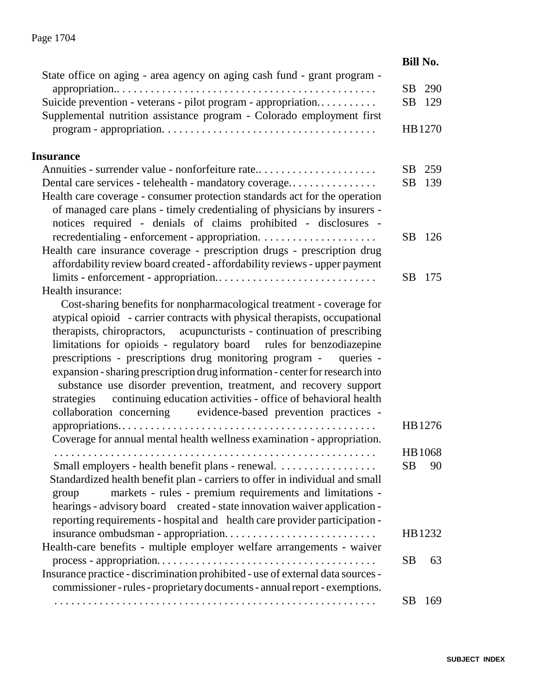|                                                                                                                                                                                                                           | <b>Bill No.</b>  |
|---------------------------------------------------------------------------------------------------------------------------------------------------------------------------------------------------------------------------|------------------|
| State office on aging - area agency on aging cash fund - grant program -                                                                                                                                                  |                  |
|                                                                                                                                                                                                                           | 290<br>SB        |
| Suicide prevention - veterans - pilot program - appropriation<br>Supplemental nutrition assistance program - Colorado employment first                                                                                    | SB<br>129        |
|                                                                                                                                                                                                                           | HB1270           |
| <b>Insurance</b>                                                                                                                                                                                                          |                  |
| Annuities - surrender value - nonforfeiture rate                                                                                                                                                                          | SB<br>259        |
| Dental care services - telehealth - mandatory coverage                                                                                                                                                                    | <b>SB</b><br>139 |
| Health care coverage - consumer protection standards act for the operation<br>of managed care plans - timely credentialing of physicians by insurers -<br>notices required - denials of claims prohibited - disclosures - |                  |
|                                                                                                                                                                                                                           | SB.<br>126       |
| Health care insurance coverage - prescription drugs - prescription drug                                                                                                                                                   |                  |
| affordability review board created - affordability reviews - upper payment                                                                                                                                                |                  |
|                                                                                                                                                                                                                           | SB<br>175        |
| Health insurance:                                                                                                                                                                                                         |                  |
| Cost-sharing benefits for nonpharmacological treatment - coverage for                                                                                                                                                     |                  |
| atypical opioid - carrier contracts with physical therapists, occupational                                                                                                                                                |                  |
| therapists, chiropractors, acupuncturists - continuation of prescribing                                                                                                                                                   |                  |
| limitations for opioids - regulatory board rules for benzodiazepine<br>prescriptions - prescriptions drug monitoring program -<br>queries -                                                                               |                  |
| expansion - sharing prescription drug information - center for research into                                                                                                                                              |                  |
| substance use disorder prevention, treatment, and recovery support                                                                                                                                                        |                  |
| continuing education activities - office of behavioral health<br>strategies                                                                                                                                               |                  |
| collaboration concerning evidence-based prevention practices -                                                                                                                                                            |                  |
|                                                                                                                                                                                                                           | HB1276           |
| Coverage for annual mental health wellness examination - appropriation.                                                                                                                                                   |                  |
|                                                                                                                                                                                                                           | HB 1068          |
| Small employers - health benefit plans - renewal.                                                                                                                                                                         | <b>SB</b><br>90  |
| Standardized health benefit plan - carriers to offer in individual and small                                                                                                                                              |                  |
| markets - rules - premium requirements and limitations -<br>group                                                                                                                                                         |                  |
| hearings - advisory board created - state innovation waiver application -                                                                                                                                                 |                  |
| reporting requirements - hospital and health care provider participation -                                                                                                                                                |                  |
| insurance ombudsman - appropriation                                                                                                                                                                                       | HB1232           |
| Health-care benefits - multiple employer welfare arrangements - waiver                                                                                                                                                    |                  |
|                                                                                                                                                                                                                           | <b>SB</b><br>63  |
| Insurance practice - discrimination prohibited - use of external data sources -                                                                                                                                           |                  |
| commissioner - rules - proprietary documents - annual report - exemptions.                                                                                                                                                |                  |
|                                                                                                                                                                                                                           | <b>SB</b><br>169 |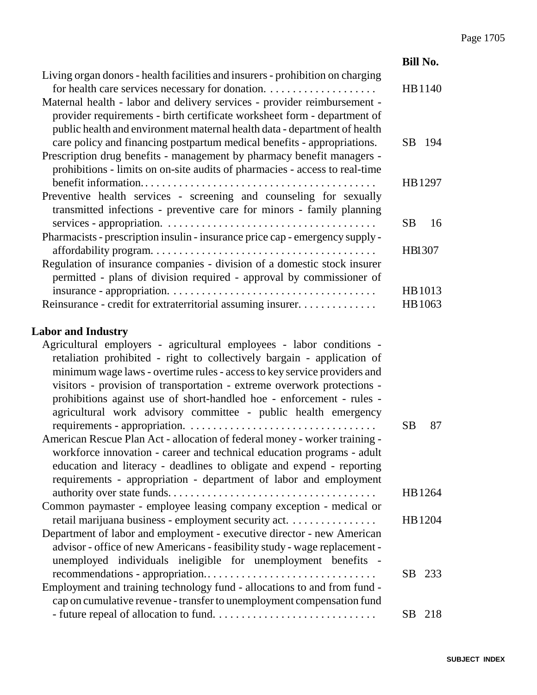|                                                                                                                                                                                                                                                                                                                                                                                                                                                   | <b>Bill No.</b>   |
|---------------------------------------------------------------------------------------------------------------------------------------------------------------------------------------------------------------------------------------------------------------------------------------------------------------------------------------------------------------------------------------------------------------------------------------------------|-------------------|
| Living organ donors - health facilities and insurers - prohibition on charging<br>Maternal health - labor and delivery services - provider reimbursement -<br>provider requirements - birth certificate worksheet form - department of<br>public health and environment maternal health data - department of health                                                                                                                               | HB1140            |
| care policy and financing postpartum medical benefits - appropriations.<br>Prescription drug benefits - management by pharmacy benefit managers -<br>prohibitions - limits on on-site audits of pharmacies - access to real-time                                                                                                                                                                                                                  | SB<br>194         |
| Preventive health services - screening and counseling for sexually<br>transmitted infections - preventive care for minors - family planning                                                                                                                                                                                                                                                                                                       | HB1297            |
|                                                                                                                                                                                                                                                                                                                                                                                                                                                   | <b>SB</b><br>16   |
| Pharmacists - prescription insulin - insurance price cap - emergency supply -<br>Regulation of insurance companies - division of a domestic stock insurer                                                                                                                                                                                                                                                                                         | HB1307            |
| permitted - plans of division required - approval by commissioner of<br>Reinsurance - credit for extraterritorial assuming insurer.                                                                                                                                                                                                                                                                                                               | HB1013<br>HB 1063 |
| <b>Labor and Industry</b>                                                                                                                                                                                                                                                                                                                                                                                                                         |                   |
| Agricultural employers - agricultural employees - labor conditions -<br>retaliation prohibited - right to collectively bargain - application of<br>minimum wage laws - overtime rules - access to key service providers and<br>visitors - provision of transportation - extreme overwork protections -<br>prohibitions against use of short-handled hoe - enforcement - rules -<br>agricultural work advisory committee - public health emergency | <b>SB</b><br>87   |
| American Rescue Plan Act - allocation of federal money - worker training -<br>workforce innovation - career and technical education programs - adult<br>education and literacy - deadlines to obligate and expend - reporting<br>requirements - appropriation - department of labor and employment                                                                                                                                                |                   |
|                                                                                                                                                                                                                                                                                                                                                                                                                                                   | HB 1264           |
| Common paymaster - employee leasing company exception - medical or                                                                                                                                                                                                                                                                                                                                                                                |                   |
| retail marijuana business - employment security act.<br>Department of labor and employment - executive director - new American<br>advisor - office of new Americans - feasibility study - wage replacement -<br>unemployed individuals ineligible for unemployment benefits -                                                                                                                                                                     | HB1204            |
| Employment and training technology fund - allocations to and from fund -<br>cap on cumulative revenue - transfer to unemployment compensation fund                                                                                                                                                                                                                                                                                                | SB<br>233         |
|                                                                                                                                                                                                                                                                                                                                                                                                                                                   | SB 218            |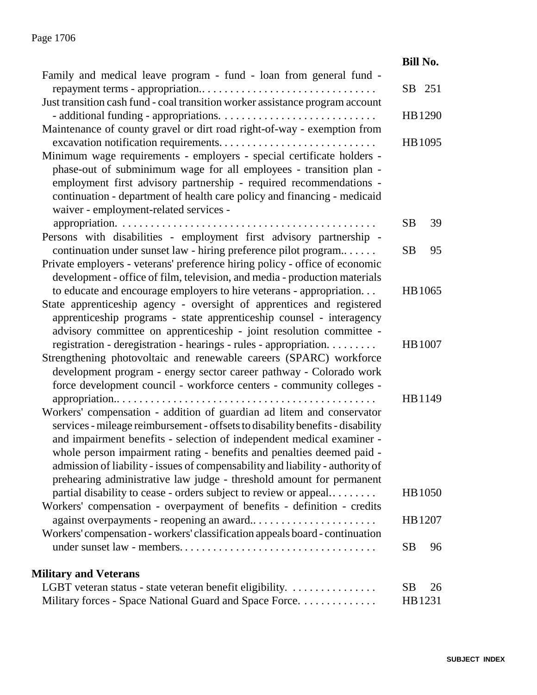|                                                                                                                                                                                                                                                                                                                                                                                                                                                                     | <b>Bill No.</b> |
|---------------------------------------------------------------------------------------------------------------------------------------------------------------------------------------------------------------------------------------------------------------------------------------------------------------------------------------------------------------------------------------------------------------------------------------------------------------------|-----------------|
| Family and medical leave program - fund - loan from general fund -                                                                                                                                                                                                                                                                                                                                                                                                  | SB<br>251       |
| Just transition cash fund - coal transition worker assistance program account                                                                                                                                                                                                                                                                                                                                                                                       | HB 1290         |
| Maintenance of county gravel or dirt road right-of-way - exemption from<br>excavation notification requirements                                                                                                                                                                                                                                                                                                                                                     | HB 1095         |
| Minimum wage requirements - employers - special certificate holders -<br>phase-out of subminimum wage for all employees - transition plan -<br>employment first advisory partnership - required recommendations -<br>continuation - department of health care policy and financing - medicaid<br>waiver - employment-related services -                                                                                                                             |                 |
| appropriation.<br>Persons with disabilities - employment first advisory partnership -                                                                                                                                                                                                                                                                                                                                                                               | 39<br><b>SB</b> |
| continuation under sunset law - hiring preference pilot program<br>Private employers - veterans' preference hiring policy - office of economic<br>development - office of film, television, and media - production materials                                                                                                                                                                                                                                        | <b>SB</b><br>95 |
| to educate and encourage employers to hire veterans - appropriation.<br>State apprenticeship agency - oversight of apprentices and registered<br>apprenticeship programs - state apprenticeship counsel - interagency<br>advisory committee on apprenticeship - joint resolution committee -                                                                                                                                                                        | HB 1065         |
| registration - deregistration - hearings - rules - appropriation.<br>Strengthening photovoltaic and renewable careers (SPARC) workforce<br>development program - energy sector career pathway - Colorado work                                                                                                                                                                                                                                                       | HB 1007         |
| force development council - workforce centers - community colleges -                                                                                                                                                                                                                                                                                                                                                                                                | HB1149          |
| Workers' compensation - addition of guardian ad litem and conservator<br>services - mileage reimbursement - offsets to disability benefits - disability<br>and impairment benefits - selection of independent medical examiner -<br>whole person impairment rating - benefits and penalties deemed paid -<br>admission of liability - issues of compensability and liability - authority of<br>prehearing administrative law judge - threshold amount for permanent |                 |
| partial disability to cease - orders subject to review or appeal<br>Workers' compensation - overpayment of benefits - definition - credits                                                                                                                                                                                                                                                                                                                          | <b>HB</b> 1050  |
| against overpayments - reopening an award<br>Workers' compensation - workers' classification appeals board - continuation                                                                                                                                                                                                                                                                                                                                           | HB 1207         |
|                                                                                                                                                                                                                                                                                                                                                                                                                                                                     | <b>SB</b><br>96 |
| <b>Military and Veterans</b>                                                                                                                                                                                                                                                                                                                                                                                                                                        |                 |
| LGBT veteran status - state veteran benefit eligibility.                                                                                                                                                                                                                                                                                                                                                                                                            | <b>SB</b><br>26 |
| Military forces - Space National Guard and Space Force.                                                                                                                                                                                                                                                                                                                                                                                                             | HB1231          |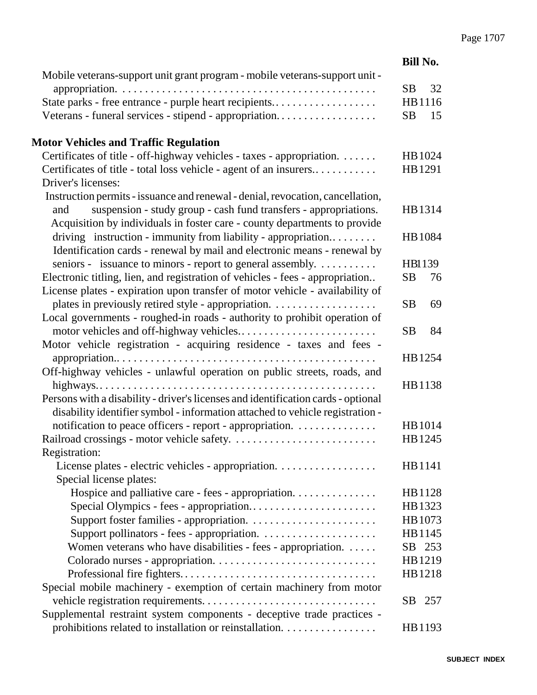|                                                                                                                                           | <b>Bill No.</b> |
|-------------------------------------------------------------------------------------------------------------------------------------------|-----------------|
| Mobile veterans-support unit grant program - mobile veterans-support unit -                                                               |                 |
|                                                                                                                                           | <b>SB</b><br>32 |
| State parks - free entrance - purple heart recipients                                                                                     | HB1116          |
| Veterans - funeral services - stipend - appropriation                                                                                     | <b>SB</b><br>15 |
| <b>Motor Vehicles and Traffic Regulation</b>                                                                                              |                 |
| Certificates of title - off-highway vehicles - taxes - appropriation.                                                                     | HB 1024         |
| Certificates of title - total loss vehicle - agent of an insurers                                                                         | HB1291          |
| Driver's licenses:                                                                                                                        |                 |
| Instruction permits - issuance and renewal - denial, revocation, cancellation,                                                            |                 |
| suspension - study group - cash fund transfers - appropriations.<br>and                                                                   | HB1314          |
| Acquisition by individuals in foster care - county departments to provide                                                                 |                 |
| driving instruction - immunity from liability - appropriation                                                                             | HB 1084         |
| Identification cards - renewal by mail and electronic means - renewal by                                                                  |                 |
| seniors - issuance to minors - report to general assembly.                                                                                | HB1139          |
| Electronic titling, lien, and registration of vehicles - fees - appropriation                                                             | <b>SB</b><br>76 |
| License plates - expiration upon transfer of motor vehicle - availability of                                                              |                 |
|                                                                                                                                           | <b>SB</b><br>69 |
| Local governments - roughed-in roads - authority to prohibit operation of                                                                 |                 |
|                                                                                                                                           | <b>SB</b><br>84 |
| Motor vehicle registration - acquiring residence - taxes and fees -                                                                       |                 |
|                                                                                                                                           | HB1254          |
| Off-highway vehicles - unlawful operation on public streets, roads, and                                                                   |                 |
| Persons with a disability - driver's licenses and identification cards - optional                                                         | HB1138          |
|                                                                                                                                           |                 |
| disability identifier symbol - information attached to vehicle registration -<br>notification to peace officers - report - appropriation. | HB1014          |
|                                                                                                                                           | HB1245          |
| Registration:                                                                                                                             |                 |
| License plates - electric vehicles - appropriation.                                                                                       | HB1141          |
| Special license plates:                                                                                                                   |                 |
| Hospice and palliative care - fees - appropriation.                                                                                       | HB1128          |
| Special Olympics - fees - appropriation                                                                                                   | HB1323          |
|                                                                                                                                           | HB 1073         |
|                                                                                                                                           | HB1145          |
| Women veterans who have disabilities - fees - appropriation.                                                                              | SB 253          |
|                                                                                                                                           | HB1219          |
|                                                                                                                                           | HB1218          |
| Special mobile machinery - exemption of certain machinery from motor                                                                      |                 |
|                                                                                                                                           | 257<br>SB.      |
| Supplemental restraint system components - deceptive trade practices -                                                                    |                 |
| prohibitions related to installation or reinstallation.                                                                                   | HB1193          |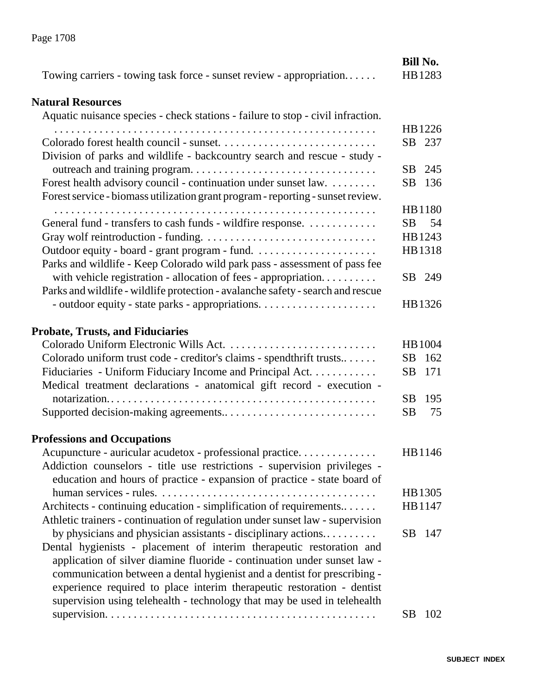| Towing carriers - towing task force - sunset review - appropriation                                                                                                                                                                                                                                                                                                                                                                                 | <b>Bill No.</b><br>HB1283 |
|-----------------------------------------------------------------------------------------------------------------------------------------------------------------------------------------------------------------------------------------------------------------------------------------------------------------------------------------------------------------------------------------------------------------------------------------------------|---------------------------|
| <b>Natural Resources</b>                                                                                                                                                                                                                                                                                                                                                                                                                            |                           |
| Aquatic nuisance species - check stations - failure to stop - civil infraction.                                                                                                                                                                                                                                                                                                                                                                     |                           |
|                                                                                                                                                                                                                                                                                                                                                                                                                                                     | HB1226<br>SB 237          |
| Division of parks and wildlife - backcountry search and rescue - study -                                                                                                                                                                                                                                                                                                                                                                            | SB 245                    |
| Forest health advisory council - continuation under sunset law.<br>Forest service - biomass utilization grant program - reporting - sunset review.                                                                                                                                                                                                                                                                                                  | 136<br>SB.                |
|                                                                                                                                                                                                                                                                                                                                                                                                                                                     | HB1180                    |
| General fund - transfers to cash funds - wildfire response.                                                                                                                                                                                                                                                                                                                                                                                         | SB<br>54                  |
|                                                                                                                                                                                                                                                                                                                                                                                                                                                     | HB1243                    |
| Parks and wildlife - Keep Colorado wild park pass - assessment of pass fee                                                                                                                                                                                                                                                                                                                                                                          | HB1318                    |
| with vehicle registration - allocation of fees - appropriation<br>Parks and wildlife - wildlife protection - avalanche safety - search and rescue                                                                                                                                                                                                                                                                                                   | SB 249                    |
|                                                                                                                                                                                                                                                                                                                                                                                                                                                     | HB1326                    |
| <b>Probate, Trusts, and Fiduciaries</b>                                                                                                                                                                                                                                                                                                                                                                                                             |                           |
|                                                                                                                                                                                                                                                                                                                                                                                                                                                     | HB 1004                   |
| Colorado uniform trust code - creditor's claims - spendthrift trusts                                                                                                                                                                                                                                                                                                                                                                                | SB 162                    |
| Fiduciaries - Uniform Fiduciary Income and Principal Act.<br>Medical treatment declarations - anatomical gift record - execution -                                                                                                                                                                                                                                                                                                                  | 171<br>SB.                |
|                                                                                                                                                                                                                                                                                                                                                                                                                                                     | SB<br>195                 |
|                                                                                                                                                                                                                                                                                                                                                                                                                                                     | <b>SB</b><br>75           |
| <b>Professions and Occupations</b>                                                                                                                                                                                                                                                                                                                                                                                                                  |                           |
| Acupuncture - auricular acudetox - professional practice.<br>Addiction counselors - title use restrictions - supervision privileges -<br>education and hours of practice - expansion of practice - state board of                                                                                                                                                                                                                                   | HB1146                    |
|                                                                                                                                                                                                                                                                                                                                                                                                                                                     | HB1305                    |
| Architects - continuing education - simplification of requirements<br>Athletic trainers - continuation of regulation under sunset law - supervision                                                                                                                                                                                                                                                                                                 | HB1147                    |
| by physicians and physician assistants - disciplinary actions<br>Dental hygienists - placement of interim therapeutic restoration and<br>application of silver diamine fluoride - continuation under sunset law -<br>communication between a dental hygienist and a dentist for prescribing -<br>experience required to place interim therapeutic restoration - dentist<br>supervision using telehealth - technology that may be used in telehealth | SB 147                    |
|                                                                                                                                                                                                                                                                                                                                                                                                                                                     | SB<br>102                 |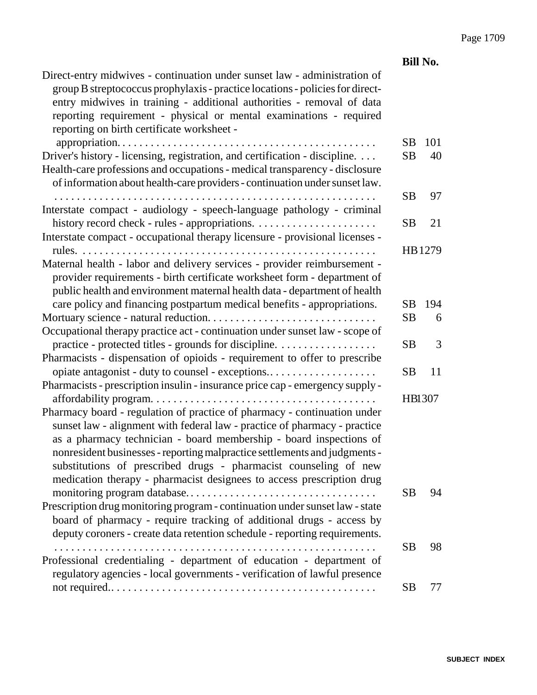|                                                                                                                                                                                                                                                                                                                                                                                                                                                        | <b>Bill No.</b>     |               |
|--------------------------------------------------------------------------------------------------------------------------------------------------------------------------------------------------------------------------------------------------------------------------------------------------------------------------------------------------------------------------------------------------------------------------------------------------------|---------------------|---------------|
| Direct-entry midwives - continuation under sunset law - administration of<br>group B streptococcus prophylaxis - practice locations - policies for direct-<br>entry midwives in training - additional authorities - removal of data<br>reporting requirement - physical or mental examinations - required<br>reporting on birth certificate worksheet -                                                                                                |                     |               |
|                                                                                                                                                                                                                                                                                                                                                                                                                                                        | SB                  | 101           |
| Driver's history - licensing, registration, and certification - discipline.<br>Health-care professions and occupations - medical transparency - disclosure<br>of information about health-care providers - continuation under sunset law.                                                                                                                                                                                                              | <b>SB</b>           | 40            |
| Interstate compact - audiology - speech-language pathology - criminal                                                                                                                                                                                                                                                                                                                                                                                  | <b>SB</b>           | 97            |
| Interstate compact - occupational therapy licensure - provisional licenses -                                                                                                                                                                                                                                                                                                                                                                           | SВ                  | 21            |
| Maternal health - labor and delivery services - provider reimbursement -<br>provider requirements - birth certificate worksheet form - department of<br>public health and environment maternal health data - department of health<br>care policy and financing postpartum medical benefits - appropriations.                                                                                                                                           | SB.                 | HB1279<br>194 |
|                                                                                                                                                                                                                                                                                                                                                                                                                                                        | <b>SB</b>           | 6             |
|                                                                                                                                                                                                                                                                                                                                                                                                                                                        |                     |               |
| Occupational therapy practice act - continuation under sunset law - scope of<br>practice - protected titles - grounds for discipline.                                                                                                                                                                                                                                                                                                                  | <b>SB</b>           | 3             |
| Pharmacists - dispensation of opioids - requirement to offer to prescribe                                                                                                                                                                                                                                                                                                                                                                              | <b>SB</b>           | 11            |
| Pharmacists - prescription insulin - insurance price cap - emergency supply -                                                                                                                                                                                                                                                                                                                                                                          |                     |               |
| Pharmacy board - regulation of practice of pharmacy - continuation under<br>sunset law - alignment with federal law - practice of pharmacy - practice<br>as a pharmacy technician - board membership - board inspections of<br>nonresident businesses - reporting malpractice settlements and judgments -<br>substitutions of prescribed drugs - pharmacist counseling of new<br>medication therapy - pharmacist designees to access prescription drug | HB1307<br><b>SB</b> | 94            |
| Prescription drug monitoring program - continuation under sunset law - state<br>board of pharmacy - require tracking of additional drugs - access by<br>deputy coroners - create data retention schedule - reporting requirements.                                                                                                                                                                                                                     |                     |               |
| Professional credentialing - department of education - department of                                                                                                                                                                                                                                                                                                                                                                                   | <b>SB</b>           | 98            |
| regulatory agencies - local governments - verification of lawful presence                                                                                                                                                                                                                                                                                                                                                                              | <b>SB</b>           | 77            |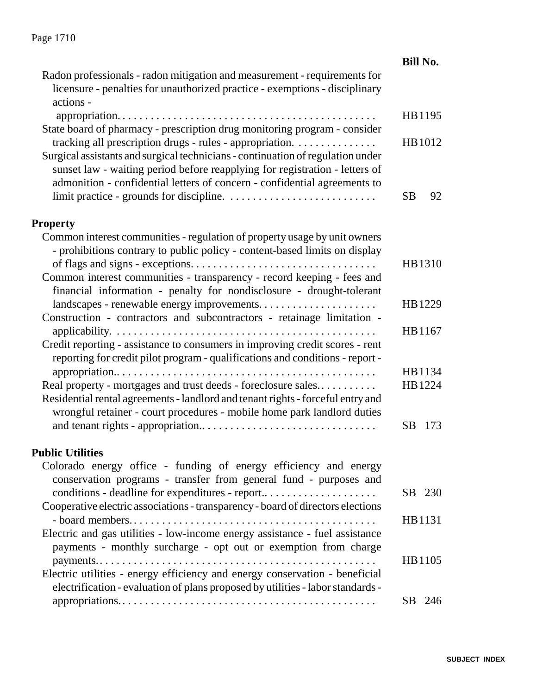| Radon professionals - radon mitigation and measurement - requirements for<br>licensure - penalties for unauthorized practice - exemptions - disciplinary<br>actions -<br>HB1195<br>State board of pharmacy - prescription drug monitoring program - consider<br>tracking all prescription drugs - rules - appropriation.<br>HB1012<br>Surgical assistants and surgical technicians - continuation of regulation under<br>sunset law - waiting period before reapplying for registration - letters of<br>admonition - confidential letters of concern - confidential agreements to<br><b>SB</b><br>92<br><b>Property</b><br>Common interest communities - regulation of property usage by unit owners<br>- prohibitions contrary to public policy - content-based limits on display<br>HB1310<br>Common interest communities - transparency - record keeping - fees and<br>financial information - penalty for nondisclosure - drought-tolerant<br>landscapes - renewable energy improvements<br>HB1229<br>Construction - contractors and subcontractors - retainage limitation -<br>HB1167<br>Credit reporting - assistance to consumers in improving credit scores - rent<br>reporting for credit pilot program - qualifications and conditions - report -<br>HB1134<br>Real property - mortgages and trust deeds - foreclosure sales<br>HB1224 |
|--------------------------------------------------------------------------------------------------------------------------------------------------------------------------------------------------------------------------------------------------------------------------------------------------------------------------------------------------------------------------------------------------------------------------------------------------------------------------------------------------------------------------------------------------------------------------------------------------------------------------------------------------------------------------------------------------------------------------------------------------------------------------------------------------------------------------------------------------------------------------------------------------------------------------------------------------------------------------------------------------------------------------------------------------------------------------------------------------------------------------------------------------------------------------------------------------------------------------------------------------------------------------------------------------------------------------------------------------|
|                                                                                                                                                                                                                                                                                                                                                                                                                                                                                                                                                                                                                                                                                                                                                                                                                                                                                                                                                                                                                                                                                                                                                                                                                                                                                                                                                  |
|                                                                                                                                                                                                                                                                                                                                                                                                                                                                                                                                                                                                                                                                                                                                                                                                                                                                                                                                                                                                                                                                                                                                                                                                                                                                                                                                                  |
|                                                                                                                                                                                                                                                                                                                                                                                                                                                                                                                                                                                                                                                                                                                                                                                                                                                                                                                                                                                                                                                                                                                                                                                                                                                                                                                                                  |
|                                                                                                                                                                                                                                                                                                                                                                                                                                                                                                                                                                                                                                                                                                                                                                                                                                                                                                                                                                                                                                                                                                                                                                                                                                                                                                                                                  |
|                                                                                                                                                                                                                                                                                                                                                                                                                                                                                                                                                                                                                                                                                                                                                                                                                                                                                                                                                                                                                                                                                                                                                                                                                                                                                                                                                  |
|                                                                                                                                                                                                                                                                                                                                                                                                                                                                                                                                                                                                                                                                                                                                                                                                                                                                                                                                                                                                                                                                                                                                                                                                                                                                                                                                                  |
|                                                                                                                                                                                                                                                                                                                                                                                                                                                                                                                                                                                                                                                                                                                                                                                                                                                                                                                                                                                                                                                                                                                                                                                                                                                                                                                                                  |
|                                                                                                                                                                                                                                                                                                                                                                                                                                                                                                                                                                                                                                                                                                                                                                                                                                                                                                                                                                                                                                                                                                                                                                                                                                                                                                                                                  |
|                                                                                                                                                                                                                                                                                                                                                                                                                                                                                                                                                                                                                                                                                                                                                                                                                                                                                                                                                                                                                                                                                                                                                                                                                                                                                                                                                  |
|                                                                                                                                                                                                                                                                                                                                                                                                                                                                                                                                                                                                                                                                                                                                                                                                                                                                                                                                                                                                                                                                                                                                                                                                                                                                                                                                                  |
|                                                                                                                                                                                                                                                                                                                                                                                                                                                                                                                                                                                                                                                                                                                                                                                                                                                                                                                                                                                                                                                                                                                                                                                                                                                                                                                                                  |
|                                                                                                                                                                                                                                                                                                                                                                                                                                                                                                                                                                                                                                                                                                                                                                                                                                                                                                                                                                                                                                                                                                                                                                                                                                                                                                                                                  |
|                                                                                                                                                                                                                                                                                                                                                                                                                                                                                                                                                                                                                                                                                                                                                                                                                                                                                                                                                                                                                                                                                                                                                                                                                                                                                                                                                  |
|                                                                                                                                                                                                                                                                                                                                                                                                                                                                                                                                                                                                                                                                                                                                                                                                                                                                                                                                                                                                                                                                                                                                                                                                                                                                                                                                                  |
|                                                                                                                                                                                                                                                                                                                                                                                                                                                                                                                                                                                                                                                                                                                                                                                                                                                                                                                                                                                                                                                                                                                                                                                                                                                                                                                                                  |
|                                                                                                                                                                                                                                                                                                                                                                                                                                                                                                                                                                                                                                                                                                                                                                                                                                                                                                                                                                                                                                                                                                                                                                                                                                                                                                                                                  |
|                                                                                                                                                                                                                                                                                                                                                                                                                                                                                                                                                                                                                                                                                                                                                                                                                                                                                                                                                                                                                                                                                                                                                                                                                                                                                                                                                  |
|                                                                                                                                                                                                                                                                                                                                                                                                                                                                                                                                                                                                                                                                                                                                                                                                                                                                                                                                                                                                                                                                                                                                                                                                                                                                                                                                                  |
|                                                                                                                                                                                                                                                                                                                                                                                                                                                                                                                                                                                                                                                                                                                                                                                                                                                                                                                                                                                                                                                                                                                                                                                                                                                                                                                                                  |
|                                                                                                                                                                                                                                                                                                                                                                                                                                                                                                                                                                                                                                                                                                                                                                                                                                                                                                                                                                                                                                                                                                                                                                                                                                                                                                                                                  |
|                                                                                                                                                                                                                                                                                                                                                                                                                                                                                                                                                                                                                                                                                                                                                                                                                                                                                                                                                                                                                                                                                                                                                                                                                                                                                                                                                  |
|                                                                                                                                                                                                                                                                                                                                                                                                                                                                                                                                                                                                                                                                                                                                                                                                                                                                                                                                                                                                                                                                                                                                                                                                                                                                                                                                                  |
|                                                                                                                                                                                                                                                                                                                                                                                                                                                                                                                                                                                                                                                                                                                                                                                                                                                                                                                                                                                                                                                                                                                                                                                                                                                                                                                                                  |
|                                                                                                                                                                                                                                                                                                                                                                                                                                                                                                                                                                                                                                                                                                                                                                                                                                                                                                                                                                                                                                                                                                                                                                                                                                                                                                                                                  |
| Residential rental agreements - landlord and tenant rights - forceful entry and                                                                                                                                                                                                                                                                                                                                                                                                                                                                                                                                                                                                                                                                                                                                                                                                                                                                                                                                                                                                                                                                                                                                                                                                                                                                  |
| wrongful retainer - court procedures - mobile home park landlord duties                                                                                                                                                                                                                                                                                                                                                                                                                                                                                                                                                                                                                                                                                                                                                                                                                                                                                                                                                                                                                                                                                                                                                                                                                                                                          |
| SB.<br>173                                                                                                                                                                                                                                                                                                                                                                                                                                                                                                                                                                                                                                                                                                                                                                                                                                                                                                                                                                                                                                                                                                                                                                                                                                                                                                                                       |
|                                                                                                                                                                                                                                                                                                                                                                                                                                                                                                                                                                                                                                                                                                                                                                                                                                                                                                                                                                                                                                                                                                                                                                                                                                                                                                                                                  |
| <b>Public Utilities</b>                                                                                                                                                                                                                                                                                                                                                                                                                                                                                                                                                                                                                                                                                                                                                                                                                                                                                                                                                                                                                                                                                                                                                                                                                                                                                                                          |
| Colorado energy office - funding of energy efficiency and energy<br>conservation programs - transfer from general fund - purposes and                                                                                                                                                                                                                                                                                                                                                                                                                                                                                                                                                                                                                                                                                                                                                                                                                                                                                                                                                                                                                                                                                                                                                                                                            |
| conditions - deadline for expenditures - report<br>SB 230                                                                                                                                                                                                                                                                                                                                                                                                                                                                                                                                                                                                                                                                                                                                                                                                                                                                                                                                                                                                                                                                                                                                                                                                                                                                                        |
| Cooperative electric associations - transparency - board of directors elections                                                                                                                                                                                                                                                                                                                                                                                                                                                                                                                                                                                                                                                                                                                                                                                                                                                                                                                                                                                                                                                                                                                                                                                                                                                                  |
| HB1131                                                                                                                                                                                                                                                                                                                                                                                                                                                                                                                                                                                                                                                                                                                                                                                                                                                                                                                                                                                                                                                                                                                                                                                                                                                                                                                                           |
| Electric and gas utilities - low-income energy assistance - fuel assistance                                                                                                                                                                                                                                                                                                                                                                                                                                                                                                                                                                                                                                                                                                                                                                                                                                                                                                                                                                                                                                                                                                                                                                                                                                                                      |
| payments - monthly surcharge - opt out or exemption from charge                                                                                                                                                                                                                                                                                                                                                                                                                                                                                                                                                                                                                                                                                                                                                                                                                                                                                                                                                                                                                                                                                                                                                                                                                                                                                  |
| HB1105                                                                                                                                                                                                                                                                                                                                                                                                                                                                                                                                                                                                                                                                                                                                                                                                                                                                                                                                                                                                                                                                                                                                                                                                                                                                                                                                           |
| Electric utilities - energy efficiency and energy conservation - beneficial                                                                                                                                                                                                                                                                                                                                                                                                                                                                                                                                                                                                                                                                                                                                                                                                                                                                                                                                                                                                                                                                                                                                                                                                                                                                      |
| electrification - evaluation of plans proposed by utilities - labor standards -                                                                                                                                                                                                                                                                                                                                                                                                                                                                                                                                                                                                                                                                                                                                                                                                                                                                                                                                                                                                                                                                                                                                                                                                                                                                  |
| SB.<br>246                                                                                                                                                                                                                                                                                                                                                                                                                                                                                                                                                                                                                                                                                                                                                                                                                                                                                                                                                                                                                                                                                                                                                                                                                                                                                                                                       |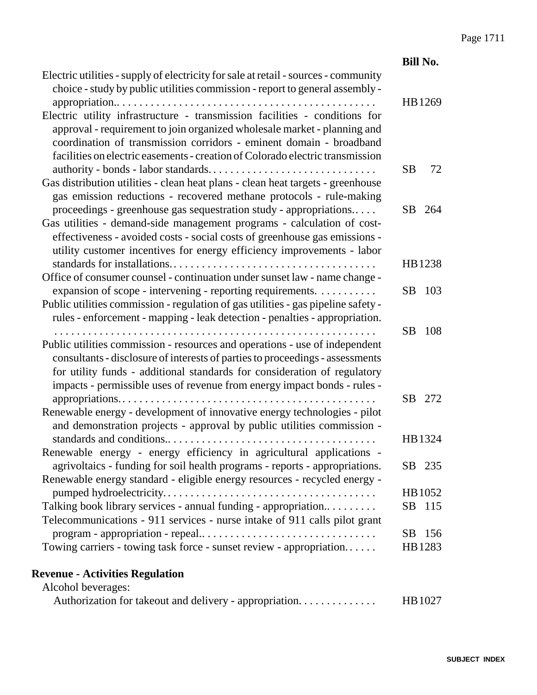|                                                                                                                                                                                                                                                                                                                      | <b>Bill No.</b> |     |
|----------------------------------------------------------------------------------------------------------------------------------------------------------------------------------------------------------------------------------------------------------------------------------------------------------------------|-----------------|-----|
| Electric utilities - supply of electricity for sale at retail - sources - community<br>choice - study by public utilities commission - report to general assembly -                                                                                                                                                  | HB1269          |     |
| Electric utility infrastructure - transmission facilities - conditions for<br>approval - requirement to join organized wholesale market - planning and<br>coordination of transmission corridors - eminent domain - broadband<br>facilities on electric easements - creation of Colorado electric transmission       |                 |     |
| Gas distribution utilities - clean heat plans - clean heat targets - greenhouse<br>gas emission reductions - recovered methane protocols - rule-making                                                                                                                                                               | <b>SB</b>       | 72  |
| proceedings - greenhouse gas sequestration study - appropriations<br>Gas utilities - demand-side management programs - calculation of cost-<br>effectiveness - avoided costs - social costs of greenhouse gas emissions -<br>utility customer incentives for energy efficiency improvements - labor                  | SB              | 264 |
| Office of consumer counsel - continuation under sunset law - name change -                                                                                                                                                                                                                                           | HB1238          |     |
| expansion of scope - intervening - reporting requirements.<br>Public utilities commission - regulation of gas utilities - gas pipeline safety -<br>rules - enforcement - mapping - leak detection - penalties - appropriation.                                                                                       | SB              | 103 |
| Public utilities commission - resources and operations - use of independent<br>consultants - disclosure of interests of parties to proceedings - assessments<br>for utility funds - additional standards for consideration of regulatory<br>impacts - permissible uses of revenue from energy impact bonds - rules - | SB              | 108 |
| Renewable energy - development of innovative energy technologies - pilot<br>and demonstration projects - approval by public utilities commission -                                                                                                                                                                   | SB              | 272 |
| Renewable energy - energy efficiency in agricultural applications -                                                                                                                                                                                                                                                  | HB1324          |     |
| agrivoltaics - funding for soil health programs - reports - appropriations.<br>Renewable energy standard - eligible energy resources - recycled energy -                                                                                                                                                             | SB 235          |     |
|                                                                                                                                                                                                                                                                                                                      | HB 1052         |     |
| Talking book library services - annual funding - appropriation<br>Telecommunications - 911 services - nurse intake of 911 calls pilot grant                                                                                                                                                                          | <b>SB</b>       | 115 |
|                                                                                                                                                                                                                                                                                                                      | SВ              | 156 |
| Towing carriers - towing task force - sunset review - appropriation                                                                                                                                                                                                                                                  | HB1283          |     |

#### **Revenue - Activities Regulation** Alcohol beverages:

| Authorization for takeout and delivery - appropriation | HB 1027 |
|--------------------------------------------------------|---------|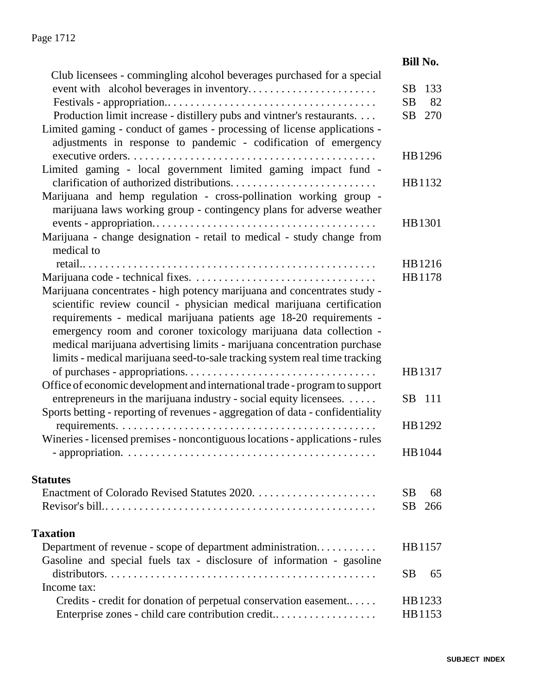|                                                                                | <b>Bill No.</b> |
|--------------------------------------------------------------------------------|-----------------|
| Club licensees - commingling alcohol beverages purchased for a special         |                 |
|                                                                                | 133<br>SB       |
|                                                                                | SB<br>82        |
| Production limit increase - distillery pubs and vintner's restaurants.         | SB 270          |
| Limited gaming - conduct of games - processing of license applications -       |                 |
| adjustments in response to pandemic - codification of emergency                |                 |
|                                                                                | HB1296          |
| Limited gaming - local government limited gaming impact fund -                 |                 |
|                                                                                | HB1132          |
| Marijuana and hemp regulation - cross-pollination working group -              |                 |
| marijuana laws working group - contingency plans for adverse weather           |                 |
|                                                                                | HB1301          |
| Marijuana - change designation - retail to medical - study change from         |                 |
| medical to                                                                     |                 |
|                                                                                | HB1216          |
|                                                                                | HB1178          |
| Marijuana concentrates - high potency marijuana and concentrates study -       |                 |
| scientific review council - physician medical marijuana certification          |                 |
| requirements - medical marijuana patients age 18-20 requirements -             |                 |
| emergency room and coroner toxicology marijuana data collection -              |                 |
| medical marijuana advertising limits - marijuana concentration purchase        |                 |
| limits - medical marijuana seed-to-sale tracking system real time tracking     |                 |
|                                                                                | HB1317          |
| Office of economic development and international trade - program to support    |                 |
| entrepreneurs in the marijuana industry - social equity licensees.             | SB 111          |
| Sports betting - reporting of revenues - aggregation of data - confidentiality |                 |
|                                                                                | HB1292          |
| Wineries - licensed premises - noncontiguous locations - applications - rules  |                 |
|                                                                                | HB 1044         |
|                                                                                |                 |
| <b>Statutes</b>                                                                |                 |
|                                                                                | SВ<br>68        |
|                                                                                | SB<br>266       |
|                                                                                |                 |
| <b>Taxation</b>                                                                |                 |
| Department of revenue - scope of department administration                     | HB1157          |
| Gasoline and special fuels tax - disclosure of information - gasoline          |                 |
|                                                                                | SВ<br>65        |
| Income tax:                                                                    |                 |
| Credits - credit for donation of perpetual conservation easement               | HB 1233         |
| Enterprise zones - child care contribution credit                              | HB1153          |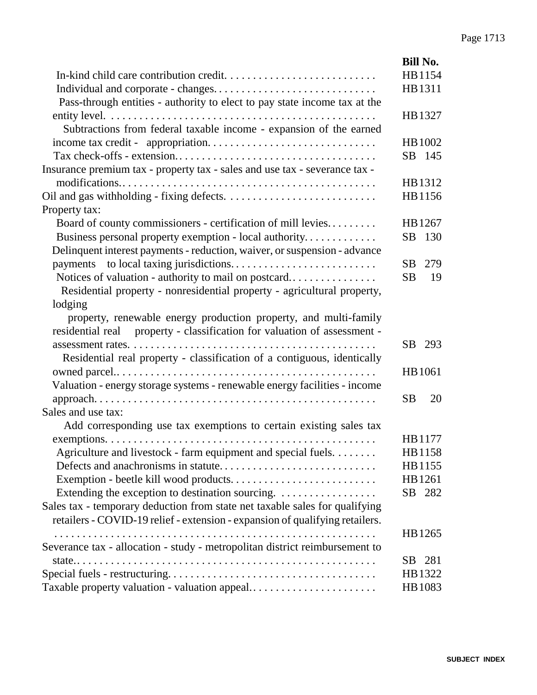|                                                                              | <b>Bill No.</b> |
|------------------------------------------------------------------------------|-----------------|
|                                                                              | HB1154          |
|                                                                              | HB1311          |
| Pass-through entities - authority to elect to pay state income tax at the    |                 |
|                                                                              | HB1327          |
| Subtractions from federal taxable income - expansion of the earned           |                 |
|                                                                              | HB 1002         |
|                                                                              | SB 145          |
| Insurance premium tax - property tax - sales and use tax - severance tax -   |                 |
|                                                                              | HB1312          |
|                                                                              | HB1156          |
| Property tax:                                                                |                 |
| Board of county commissioners - certification of mill levies                 | HB1267          |
| Business personal property exemption - local authority                       | SB<br>130       |
| Delinquent interest payments - reduction, waiver, or suspension - advance    |                 |
|                                                                              | 279<br>SB       |
| Notices of valuation - authority to mail on postcard                         | <b>SB</b><br>19 |
| Residential property - nonresidential property - agricultural property,      |                 |
| lodging                                                                      |                 |
| property, renewable energy production property, and multi-family             |                 |
| property - classification for valuation of assessment -<br>residential real  |                 |
|                                                                              | SB 293          |
| Residential real property - classification of a contiguous, identically      |                 |
|                                                                              | HB 1061         |
| Valuation - energy storage systems - renewable energy facilities - income    |                 |
|                                                                              | <b>SB</b><br>20 |
| Sales and use tax:                                                           |                 |
| Add corresponding use tax exemptions to certain existing sales tax           |                 |
|                                                                              | HB 1177         |
| Agriculture and livestock - farm equipment and special fuels.                | HB1158          |
|                                                                              | HB1155          |
|                                                                              | HB1261          |
| Extending the exception to destination sourcing.                             | SB 282          |
| Sales tax - temporary deduction from state net taxable sales for qualifying  |                 |
| retailers - COVID-19 relief - extension - expansion of qualifying retailers. |                 |
|                                                                              | HB 1265         |
| Severance tax - allocation - study - metropolitan district reimbursement to  |                 |
|                                                                              | SB 281          |
|                                                                              | HB1322          |
| Taxable property valuation - valuation appeal                                | HB1083          |